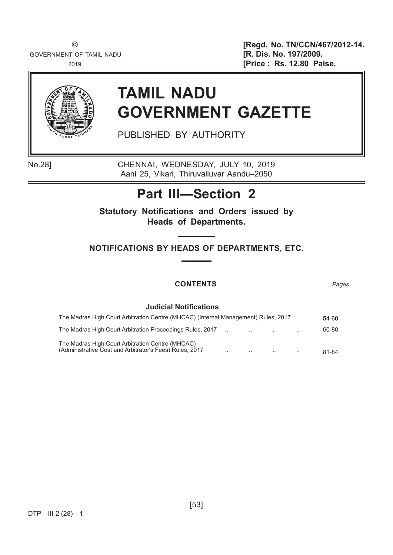GOVERNMENT OF TAMIL NADU **EXECUTE: [R. Dis. No. 197/2009.** 

© **[Regd. No. TN/CCN/467/2012-14.** <sup>2019</sup> **[Price : Rs. 12.80 Paise**.



# **TAMIL NADU GOVERNMENT GAZETTE**

PUBLISHED BY AUTHORITY

No.28] CHENNAI, WEDNESDAY, JULY 10, 2019 Aani 25, Vikari, Thiruvalluvar Aandu–2050

# **Part III—Section 2**

**Statutory Notifications and Orders issued by Heads of Departments.**

**NOTIFICATIONS BY HEADS OF DEPARTMENTS, ETC.**

# **CONTENTS** *Pages.*

## **Judicial Notifications**

| The Madras High Court Arbitration Centre (MHCAC) (Internal Management) Rules, 2017                          |           |        | 54-60     |       |
|-------------------------------------------------------------------------------------------------------------|-----------|--------|-----------|-------|
| The Madras High Court Arbitration Proceedings Rules, 2017                                                   |           | $\sim$ | $\cdot$ . | 60-80 |
| The Madras High Court Arbitration Centre (MHCAC)<br>(Administrative Cost and Arbitrator's Fees) Rules, 2017 | $\cdot$ . |        | $\cdot$ . | 81-84 |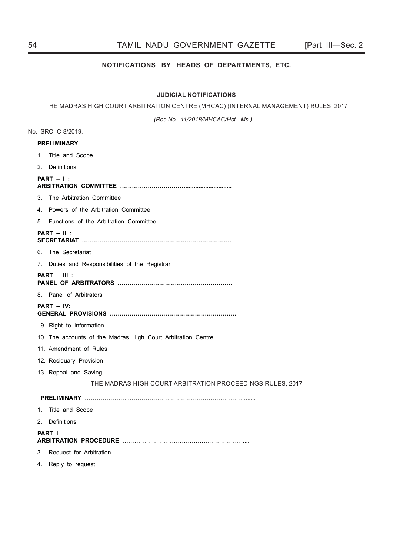## 54 TAMIL NADU GOVERNMENT GAZETTE [Part III—Sec. 2

## **NOTIFICATIONS BY HEADS OF DEPARTMENTS, ETC.**

## **JUDICIAL NOTIFICATIONS**

THE MADRAS HIGH COURT ARBITRATION CENTRE (MHCAC) (INTERNAL MANAGEMENT) RULES, 2017

*(Roc.No. 11/2018/MHCAC/Hct. Ms.)*

|    | No. SRO C-8/2019.                                            |
|----|--------------------------------------------------------------|
|    |                                                              |
|    | 1. Title and Scope                                           |
|    | 2. Definitions                                               |
|    | $PART - 1$ :                                                 |
|    | 3. The Arbitration Committee                                 |
|    | 4. Powers of the Arbitration Committee                       |
| 5. | Functions of the Arbitration Committee                       |
|    | $PART - II$ :                                                |
|    | 6. The Secretariat                                           |
|    | 7. Duties and Responsibilities of the Registrar              |
|    | $PART - III$ :                                               |
|    | 8. Panel of Arbitrators                                      |
|    | PART - IV:                                                   |
|    | 9. Right to Information                                      |
|    | 10. The accounts of the Madras High Court Arbitration Centre |
|    | 11. Amendment of Rules                                       |
|    | 12. Residuary Provision                                      |
|    | 13. Repeal and Saving                                        |
|    | THE MADRAS HIGH COURT ARBITRATION PROCEEDINGS RULES, 2017    |
|    |                                                              |
|    | 1. Title and Scope                                           |
| 2. | Definitions                                                  |
|    | <b>PART I</b>                                                |
| 3. | Request for Arbitration                                      |

4. Reply to request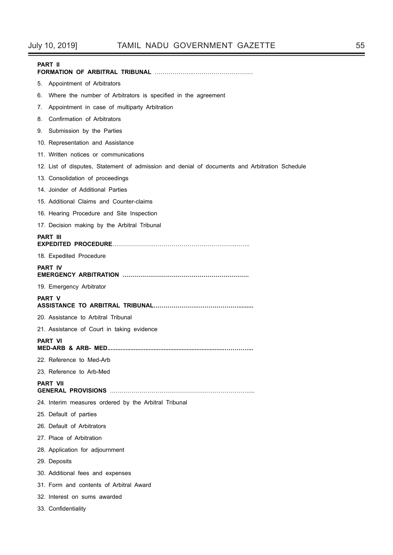| <b>PART II</b>                                                                                |
|-----------------------------------------------------------------------------------------------|
| Appointment of Arbitrators<br>5.                                                              |
| Where the number of Arbitrators is specified in the agreement<br>6.                           |
| Appointment in case of multiparty Arbitration<br>7.                                           |
| Confirmation of Arbitrators<br>8.                                                             |
| 9. Submission by the Parties                                                                  |
| 10. Representation and Assistance                                                             |
| 11. Written notices or communications                                                         |
| 12. List of disputes, Statement of admission and denial of documents and Arbitration Schedule |
| 13. Consolidation of proceedings                                                              |
| 14. Joinder of Additional Parties                                                             |
| 15. Additional Claims and Counter-claims                                                      |
| 16. Hearing Procedure and Site Inspection                                                     |
| 17. Decision making by the Arbitral Tribunal                                                  |
| PART III                                                                                      |
| 18. Expedited Procedure                                                                       |
| <b>PART IV</b>                                                                                |
| 19. Emergency Arbitrator                                                                      |
| <b>PART V</b>                                                                                 |
| 20. Assistance to Arbitral Tribunal                                                           |
| 21. Assistance of Court in taking evidence                                                    |
| <b>PART VI</b>                                                                                |
| 22. Reference to Med-Arb                                                                      |
| 23. Reference to Arb-Med                                                                      |
| PART VII                                                                                      |
| 24. Interim measures ordered by the Arbitral Tribunal                                         |
| 25. Default of parties                                                                        |
| 26. Default of Arbitrators                                                                    |
| 27. Place of Arbitration                                                                      |
| 28. Application for adjournment                                                               |
| 29. Deposits                                                                                  |
| 30. Additional fees and expenses                                                              |
| 31. Form and contents of Arbitral Award                                                       |
| 32. Interest on sums awarded                                                                  |
| 33. Confidentiality                                                                           |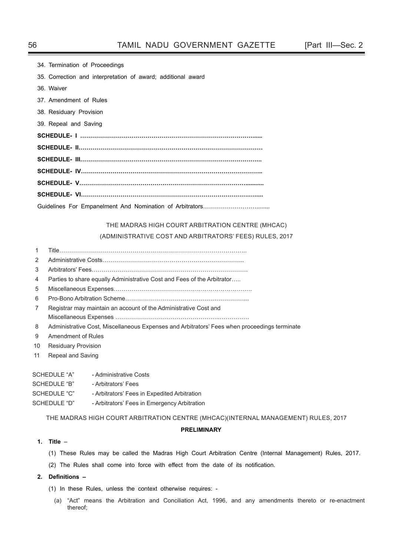| 34. Termination of Proceedings                               |
|--------------------------------------------------------------|
| 35. Correction and interpretation of award; additional award |
| 36. Waiver                                                   |
| 37. Amendment of Rules                                       |
| 38. Residuary Provision                                      |
| 39. Repeal and Saving                                        |
|                                                              |
|                                                              |
|                                                              |
|                                                              |
|                                                              |
|                                                              |
|                                                              |

# THE MADRAS HIGH COURT ARBITRATION CENTRE (MHCAC)

## (ADMINISTRATIVE COST AND ARBITRATORS' FEES) RULES, 2017

- 1 Title…………………………………………………………………………………..
- 2 Administrative Costs……………………………………………………………...
- 3 Arbitrators' Fees…………………………………………………………………….
- 4 Parties to share equally Administrative Cost and Fees of the Arbitrator…..
- 5 Miscellaneous Expenses…………………………………………………………….
- 6 Pro-Bono Arbitration Scheme……………………………………………………...
- 7 Registrar may maintain an account of the Administrative Cost and Miscellaneous Expenses ……………………………………………..……………
- 8 Administrative Cost, Miscellaneous Expenses and Arbitrators' Fees when proceedings terminate
- 9 Amendment of Rules
- 10 Residuary Provision
- 11 Repeal and Saving

| SCHEDULE "A" | - Administrative Costs                       |
|--------------|----------------------------------------------|
| SCHEDULE "B" | - Arbitrators' Fees                          |
| SCHEDULE "C" | - Arbitrators' Fees in Expedited Arbitration |
| SCHEDULE "D" | - Arbitrators' Fees in Emergency Arbitration |

THE MADRAS HIGH COURT ARBITRATION CENTRE (MHCAC)(INTERNAL MANAGEMENT) RULES, 2017

## **PRELIMINARY**

## **1. Title** –

- (1) These Rules may be called the Madras High Court Arbitration Centre (Internal Management) Rules, 2017.
- (2) The Rules shall come into force with effect from the date of its notification.

## **2. Defi nitions –**

- (1) In these Rules, unless the context otherwise requires:
	- (a) "Act" means the Arbitration and Conciliation Act, 1996, and any amendments thereto or re-enactment thereof;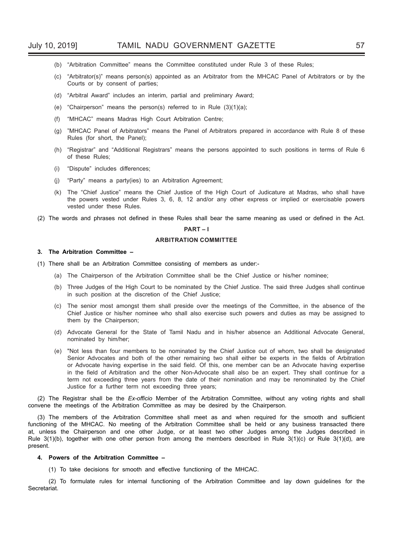- (b) "Arbitration Committee" means the Committee constituted under Rule 3 of these Rules;
- (c) "Arbitrator(s)" means person(s) appointed as an Arbitrator from the MHCAC Panel of Arbitrators or by the Courts or by consent of parties;
- (d) "Arbitral Award" includes an interim, partial and preliminary Award;
- (e) "Chairperson" means the person(s) referred to in Rule (3)(1)(a);
- (f) "MHCAC" means Madras High Court Arbitration Centre;
- (g) "MHCAC Panel of Arbitrators" means the Panel of Arbitrators prepared in accordance with Rule 8 of these Rules (for short, the Panel);
- (h) "Registrar" and "Additional Registrars" means the persons appointed to such positions in terms of Rule 6 of these Rules;
- (i) "Dispute" includes differences;
- (j) "Party" means a party(ies) to an Arbitration Agreement;
- (k) The "Chief Justice" means the Chief Justice of the High Court of Judicature at Madras, who shall have the powers vested under Rules 3, 6, 8, 12 and/or any other express or implied or exercisable powers vested under these Rules.
- (2) The words and phrases not defined in these Rules shall bear the same meaning as used or defined in the Act.

#### **PART – I**

#### **ARBITRATION COMMITTEE**

#### **3. The Arbitration Committee –**

- (1) There shall be an Arbitration Committee consisting of members as under:-
	- (a) The Chairperson of the Arbitration Committee shall be the Chief Justice or his/her nominee;
	- (b) Three Judges of the High Court to be nominated by the Chief Justice. The said three Judges shall continue in such position at the discretion of the Chief Justice;
	- (c) The senior most amongst them shall preside over the meetings of the Committee, in the absence of the Chief Justice or his/her nominee who shall also exercise such powers and duties as may be assigned to them by the Chairperson;
	- (d) Advocate General for the State of Tamil Nadu and in his/her absence an Additional Advocate General, nominated by him/her;
	- (e) "Not less than four members to be nominated by the Chief Justice out of whom, two shall be designated Senior Advocates and both of the other remaining two shall either be experts in the fields of Arbitration or Advocate having expertise in the said field. Of this, one member can be an Advocate having expertise in the field of Arbitration and the other Non-Advocate shall also be an expert. They shall continue for a term not exceeding three years from the date of their nomination and may be renominated by the Chief Justice for a further term not exceeding three years;

(2) The Registrar shall be the *Ex-officio* Member of the Arbitration Committee, without any voting rights and shall convene the meetings of the Arbitration Committee as may be desired by the Chairperson.

(3) The members of the Arbitration Committee shall meet as and when required for the smooth and sufficient functioning of the MHCAC. No meeting of the Arbitration Committee shall be held or any business transacted there at, unless the Chairperson and one other Judge, or at least two other Judges among the Judges described in Rule 3(1)(b), together with one other person from among the members described in Rule 3(1)(c) or Rule 3(1)(d), are present.

#### **4. Powers of the Arbitration Committee –**

(1) To take decisions for smooth and effective functioning of the MHCAC.

 (2) To formulate rules for internal functioning of the Arbitration Committee and lay down guidelines for the Secretariat.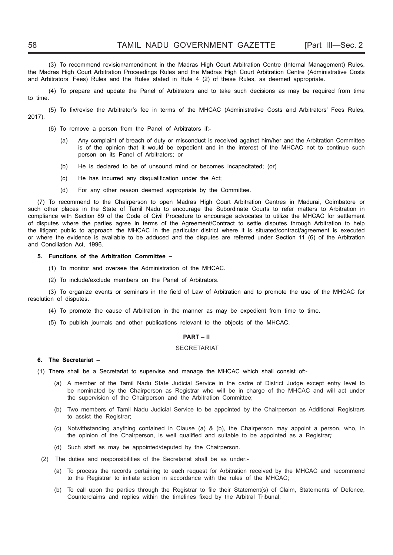(3) To recommend revision/amendment in the Madras High Court Arbitration Centre (Internal Management) Rules, the Madras High Court Arbitration Proceedings Rules and the Madras High Court Arbitration Centre (Administrative Costs and Arbitrators' Fees) Rules and the Rules stated in Rule 4 (2) of these Rules, as deemed appropriate.

 (4) To prepare and update the Panel of Arbitrators and to take such decisions as may be required from time to time.

(5) To fix/revise the Arbitrator's fee in terms of the MHCAC (Administrative Costs and Arbitrators' Fees Rules, 2017).

- (6) To remove a person from the Panel of Arbitrators if:-
	- (a) Any complaint of breach of duty or misconduct is received against him/her and the Arbitration Committee is of the opinion that it would be expedient and in the interest of the MHCAC not to continue such person on its Panel of Arbitrators; or
	- (b) He is declared to be of unsound mind or becomes incapacitated; (or)
	- (c) He has incurred any disqualification under the Act;
	- (d) For any other reason deemed appropriate by the Committee.

(7) To recommend to the Chairperson to open Madras High Court Arbitration Centres in Madurai, Coimbatore or such other places in the State of Tamil Nadu to encourage the Subordinate Courts to refer matters to Arbitration in compliance with Section 89 of the Code of Civil Procedure to encourage advocates to utilize the MHCAC for settlement of disputes where the parties agree in terms of the Agreement/Contract to settle disputes through Arbitration to help the litigant public to approach the MHCAC in the particular district where it is situated/contract/agreement is executed or where the evidence is available to be adduced and the disputes are referred under Section 11 (6) of the Arbitration and Conciliation Act, 1996.

#### **5. Functions of the Arbitration Committee –**

- (1) To monitor and oversee the Administration of the MHCAC.
- (2) To include/exclude members on the Panel of Arbitrators.

(3) To organize events or seminars in the field of Law of Arbitration and to promote the use of the MHCAC for resolution of disputes.

- (4) To promote the cause of Arbitration in the manner as may be expedient from time to time.
- (5) To publish journals and other publications relevant to the objects of the MHCAC.

#### **PART – II**

#### SECRETARIAT

## **6. The Secretariat –**

(1) There shall be a Secretariat to supervise and manage the MHCAC which shall consist of:-

- (a) A member of the Tamil Nadu State Judicial Service in the cadre of District Judge except entry level to be nominated by the Chairperson as Registrar who will be in charge of the MHCAC and will act under the supervision of the Chairperson and the Arbitration Committee;
- (b) Two members of Tamil Nadu Judicial Service to be appointed by the Chairperson as Additional Registrars to assist the Registrar;
- (c) Notwithstanding anything contained in Clause (a) & (b), the Chairperson may appoint a person, who, in the opinion of the Chairperson, is well qualified and suitable to be appointed as a Registrar;
- (d) Such staff as may be appointed/deputed by the Chairperson.
- (2) The duties and responsibilities of the Secretariat shall be as under:-
	- (a) To process the records pertaining to each request for Arbitration received by the MHCAC and recommend to the Registrar to initiate action in accordance with the rules of the MHCAC;
	- (b) To call upon the parties through the Registrar to file their Statement(s) of Claim, Statements of Defence, Counterclaims and replies within the timelines fixed by the Arbitral Tribunal;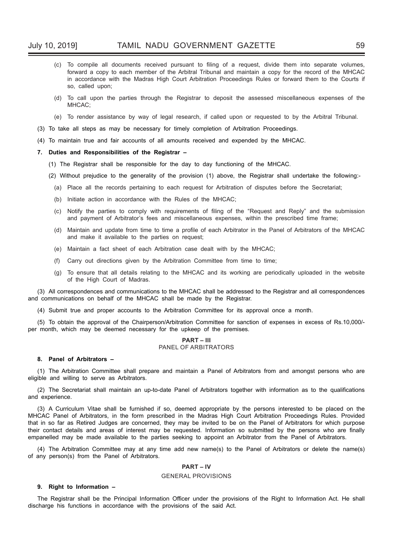- (c) To compile all documents received pursuant to filing of a request, divide them into separate volumes, forward a copy to each member of the Arbitral Tribunal and maintain a copy for the record of the MHCAC in accordance with the Madras High Court Arbitration Proceedings Rules or forward them to the Courts if so, called upon;
- (d) To call upon the parties through the Registrar to deposit the assessed miscellaneous expenses of the MHCAC;
- (e) To render assistance by way of legal research, if called upon or requested to by the Arbitral Tribunal.
- (3) To take all steps as may be necessary for timely completion of Arbitration Proceedings.
- (4) To maintain true and fair accounts of all amounts received and expended by the MHCAC.

#### **7. Duties and Responsibilities of the Registrar –**

- (1) The Registrar shall be responsible for the day to day functioning of the MHCAC.
- (2) Without prejudice to the generality of the provision (1) above, the Registrar shall undertake the following:-
	- (a) Place all the records pertaining to each request for Arbitration of disputes before the Secretariat;
	- (b) Initiate action in accordance with the Rules of the MHCAC;
	- (c) Notify the parties to comply with requirements of filing of the "Request and Reply" and the submission and payment of Arbitrator's fees and miscellaneous expenses, within the prescribed time frame;
	- (d) Maintain and update from time to time a profile of each Arbitrator in the Panel of Arbitrators of the MHCAC and make it available to the parties on request;
	- (e) Maintain a fact sheet of each Arbitration case dealt with by the MHCAC;
	- (f) Carry out directions given by the Arbitration Committee from time to time;
	- (g) To ensure that all details relating to the MHCAC and its working are periodically uploaded in the website of the High Court of Madras.

(3) All correspondences and communications to the MHCAC shall be addressed to the Registrar and all correspondences and communications on behalf of the MHCAC shall be made by the Registrar.

(4) Submit true and proper accounts to the Arbitration Committee for its approval once a month.

(5) To obtain the approval of the Chairperson/Arbitration Committee for sanction of expenses in excess of Rs.10,000/ per month, which may be deemed necessary for the upkeep of the premises.

#### **PART – III** PANEL OF ARBITRATORS

#### **8. Panel of Arbitrators –**

(1) The Arbitration Committee shall prepare and maintain a Panel of Arbitrators from and amongst persons who are eligible and willing to serve as Arbitrators.

(2) The Secretariat shall maintain an up-to-date Panel of Arbitrators together with information as to the qualifications and experience.

(3) A Curriculum Vitae shall be furnished if so, deemed appropriate by the persons interested to be placed on the MHCAC Panel of Arbitrators, in the form prescribed in the Madras High Court Arbitration Proceedings Rules. Provided that in so far as Retired Judges are concerned, they may be invited to be on the Panel of Arbitrators for which purpose their contact details and areas of interest may be requested. Information so submitted by the persons who are finally empanelled may be made available to the parties seeking to appoint an Arbitrator from the Panel of Arbitrators.

(4) The Arbitration Committee may at any time add new name(s) to the Panel of Arbitrators or delete the name(s) of any person(s) from the Panel of Arbitrators.

## **PART – IV**

#### GENERAL PROVISIONS

#### **9. Right to Information –**

The Registrar shall be the Principal Information Officer under the provisions of the Right to Information Act. He shall discharge his functions in accordance with the provisions of the said Act.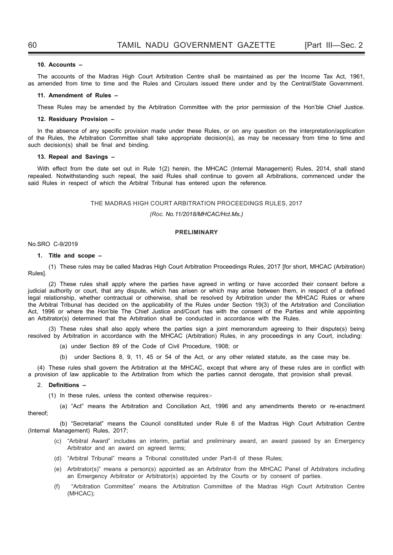#### **10. Accounts –**

The accounts of the Madras High Court Arbitration Centre shall be maintained as per the Income Tax Act, 1961, as amended from time to time and the Rules and Circulars issued there under and by the Central/State Government.

#### **11. Amendment of Rules –**

These Rules may be amended by the Arbitration Committee with the prior permission of the Hon'ble Chief Justice.

#### **12. Residuary Provision –**

In the absence of any specific provision made under these Rules, or on any question on the interpretation/application of the Rules, the Arbitration Committee shall take appropriate decision(s), as may be necessary from time to time and such decision(s) shall be final and binding.

#### **13. Repeal and Savings –**

With effect from the date set out in Rule 1(2) herein, the MHCAC (Internal Management) Rules, 2014, shall stand repealed. Notwithstanding such repeal, the said Rules shall continue to govern all Arbitrations, commenced under the said Rules in respect of which the Arbitral Tribunal has entered upon the reference.

#### THE MADRAS HIGH COURT ARBITRATION PROCEEDINGS RULES, 2017

#### *(Roc. No.11/2018/MHCAC/Hct.Ms.)*

## **PRELIMINARY**

#### No.SRO C-9/2019

#### **1. Title and scope –**

 (1) These rules may be called Madras High Court Arbitration Proceedings Rules, 2017 [for short, MHCAC (Arbitration) Rules].

 (2) These rules shall apply where the parties have agreed in writing or have accorded their consent before a judicial authority or court, that any dispute, which has arisen or which may arise between them, in respect of a defined legal relationship, whether contractual or otherwise, shall be resolved by Arbitration under the MHCAC Rules or where the Arbitral Tribunal has decided on the applicability of the Rules under Section 19(3) of the Arbitration and Conciliation Act, 1996 or where the Hon'ble The Chief Justice and/Court has with the consent of the Parties and while appointing an Arbitrator(s) determined that the Arbitration shall be conducted in accordance with the Rules.

 (3) These rules shall also apply where the parties sign a joint memorandum agreeing to their dispute(s) being resolved by Arbitration in accordance with the MHCAC (Arbitration) Rules, in any proceedings in any Court, including:

- (a) under Section 89 of the Code of Civil Procedure, 1908; or
- (b) under Sections 8, 9, 11, 45 or 54 of the Act, or any other related statute, as the case may be.

(4) These rules shall govern the Arbitration at the MHCAC, except that where any of these rules are in conflict with a provision of law applicable to the Arbitration from which the parties cannot derogate, that provision shall prevail.

#### 2. **Definitions –**

(1) In these rules, unless the context otherwise requires:-

 (a) "Act" means the Arbitration and Conciliation Act, 1996 and any amendments thereto or re-enactment thereof;

 (b) "Secretariat" means the Council constituted under Rule 6 of the Madras High Court Arbitration Centre (Internal Management) Rules, 2017;

- (c) "Arbitral Award" includes an interim, partial and preliminary award, an award passed by an Emergency Arbitrator and an award on agreed terms;
- (d) "Arbitral Tribunal" means a Tribunal constituted under Part-II of these Rules;
- (e) Arbitrator(s)" means a person(s) appointed as an Arbitrator from the MHCAC Panel of Arbitrators including an Emergency Arbitrator or Arbitrator(s) appointed by the Courts or by consent of parties.
- (f) "Arbitration Committee" means the Arbitration Committee of the Madras High Court Arbitration Centre (MHCAC);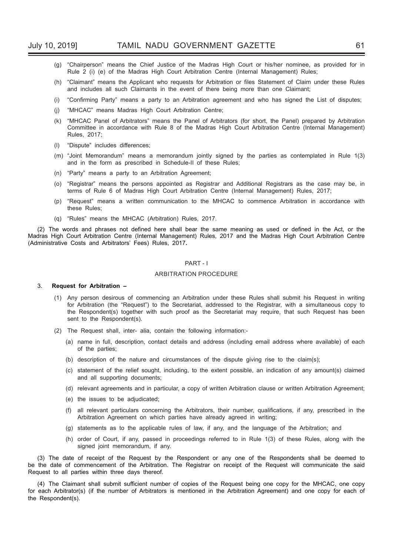- (g) "Chairperson" means the Chief Justice of the Madras High Court or his/her nominee, as provided for in Rule 2 (i) (e) of the Madras High Court Arbitration Centre (Internal Management) Rules;
- (h) "Claimant" means the Applicant who requests for Arbitration or files Statement of Claim under these Rules and includes all such Claimants in the event of there being more than one Claimant;
- (i) "Confirming Party" means a party to an Arbitration agreement and who has signed the List of disputes;
- (j) "MHCAC" means Madras High Court Arbitration Centre;
- (k) "MHCAC Panel of Arbitrators" means the Panel of Arbitrators (for short, the Panel) prepared by Arbitration Committee in accordance with Rule 8 of the Madras High Court Arbitration Centre (Internal Management) Rules, 2017;
- (I) "Dispute" includes differences;
- (m) "Joint Memorandum" means a memorandum jointly signed by the parties as contemplated in Rule 1(3) and in the form as prescribed in Schedule-II of these Rules;
- (n) "Party" means a party to an Arbitration Agreement;
- (o) "Registrar" means the persons appointed as Registrar and Additional Registrars as the case may be, in terms of Rule 6 of Madras High Court Arbitration Centre (Internal Management) Rules, 2017;
- (p) "Request" means a written communication to the MHCAC to commence Arbitration in accordance with these Rules;
- (q) "Rules" means the MHCAC (Arbitration) Rules, 2017.

(2) The words and phrases not defined here shall bear the same meaning as used or defined in the Act, or the Madras High Court Arbitration Centre (Internal Management) Rules, 2017 and the Madras High Court Arbitration Centre (Administrative Costs and Arbitrators' Fees) Rules, 2017**.**

#### PART - I

#### ARBITRATION PROCEDURE

#### 3. **Request for Arbitration –**

- (1) Any person desirous of commencing an Arbitration under these Rules shall submit his Request in writing for Arbitration (the "Request") to the Secretariat, addressed to the Registrar, with a simultaneous copy to the Respondent(s) together with such proof as the Secretariat may require, that such Request has been sent to the Respondent(s).
- (2) The Request shall, inter- alia, contain the following information:-
	- (a) name in full, description, contact details and address (including email address where available) of each of the parties;
	- (b) description of the nature and circumstances of the dispute giving rise to the claim(s);
	- (c) statement of the relief sought, including, to the extent possible, an indication of any amount(s) claimed and all supporting documents;
	- (d) relevant agreements and in particular, a copy of written Arbitration clause or written Arbitration Agreement;
	- (e) the issues to be adjudicated;
	- (f) all relevant particulars concerning the Arbitrators, their number, qualifications, if any, prescribed in the Arbitration Agreement on which parties have already agreed in writing;
	- (g) statements as to the applicable rules of law, if any, and the language of the Arbitration; and
	- (h) order of Court, if any, passed in proceedings referred to in Rule 1(3) of these Rules, along with the signed joint memorandum, if any.

(3) The date of receipt of the Request by the Respondent or any one of the Respondents shall be deemed to be the date of commencement of the Arbitration. The Registrar on receipt of the Request will communicate the said Request to all parties within three days thereof.

(4) The Claimant shall submit sufficient number of copies of the Request being one copy for the MHCAC, one copy for each Arbitrator(s) (if the number of Arbitrators is mentioned in the Arbitration Agreement) and one copy for each of the Respondent(s).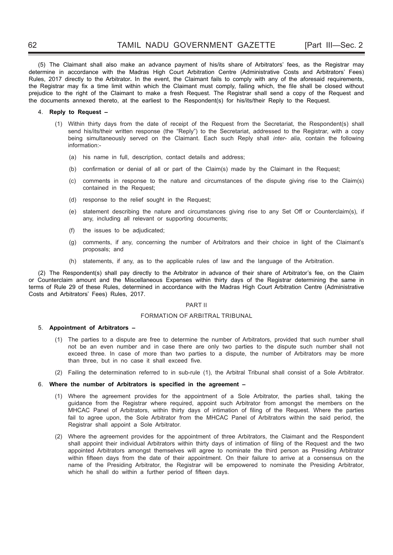(5) The Claimant shall also make an advance payment of his/its share of Arbitrators' fees, as the Registrar may determine in accordance with the Madras High Court Arbitration Centre (Administrative Costs and Arbitrators' Fees) Rules, 2017 directly to the Arbitrator**.** In the event, the Claimant fails to comply with any of the aforesaid requirements, the Registrar may fix a time limit within which the Claimant must comply, failing which, the file shall be closed without prejudice to the right of the Claimant to make a fresh Request. The Registrar shall send a copy of the Request and the documents annexed thereto, at the earliest to the Respondent(s) for his/its/their Reply to the Request.

#### 4. **Reply to Request –**

- (1) Within thirty days from the date of receipt of the Request from the Secretariat, the Respondent(s) shall send his/its/their written response (the "Reply") to the Secretariat, addressed to the Registrar, with a copy being simultaneously served on the Claimant. Each such Reply shall *inter- alia*, contain the following information:-
	- (a) his name in full, description, contact details and address;
	- (b) confirmation or denial of all or part of the Claim(s) made by the Claimant in the Request;
	- (c) comments in response to the nature and circumstances of the dispute giving rise to the Claim(s) contained in the Request;
	- (d) response to the relief sought in the Request;
	- (e) statement describing the nature and circumstances giving rise to any Set Off or Counterclaim(s), if any, including all relevant or supporting documents;
	- (f) the issues to be adjudicated;
	- (g) comments, if any, concerning the number of Arbitrators and their choice in light of the Claimant's proposals; and
	- (h) statements, if any, as to the applicable rules of law and the language of the Arbitration.

(2) The Respondent(s) shall pay directly to the Arbitrator in advance of their share of Arbitrator's fee, on the Claim or Counterclaim amount and the Miscellaneous Expenses within thirty days of the Registrar determining the same in terms of Rule 29 of these Rules, determined in accordance with the Madras High Court Arbitration Centre (Administrative Costs and Arbitrators' Fees) Rules, 2017.

#### PART II

#### FORMATION OF ARBITRAL TRIBUNAL

#### 5. **Appointment of Arbitrators –**

- (1) The parties to a dispute are free to determine the number of Arbitrators, provided that such number shall not be an even number and in case there are only two parties to the dispute such number shall not exceed three. In case of more than two parties to a dispute, the number of Arbitrators may be more than three, but in no case it shall exceed five.
- (2) Failing the determination referred to in sub-rule (1), the Arbitral Tribunal shall consist of a Sole Arbitrator.

#### 6. Where the number of Arbitrators is specified in the agreement -

- (1) Where the agreement provides for the appointment of a Sole Arbitrator, the parties shall, taking the guidance from the Registrar where required, appoint such Arbitrator from amongst the members on the MHCAC Panel of Arbitrators, within thirty days of intimation of filing of the Request. Where the parties fail to agree upon, the Sole Arbitrator from the MHCAC Panel of Arbitrators within the said period, the Registrar shall appoint a Sole Arbitrator.
- (2) Where the agreement provides for the appointment of three Arbitrators, the Claimant and the Respondent shall appoint their individual Arbitrators within thirty days of intimation of filing of the Request and the two appointed Arbitrators amongst themselves will agree to nominate the third person as Presiding Arbitrator within fifteen days from the date of their appointment. On their failure to arrive at a consensus on the name of the Presiding Arbitrator, the Registrar will be empowered to nominate the Presiding Arbitrator, which he shall do within a further period of fifteen days.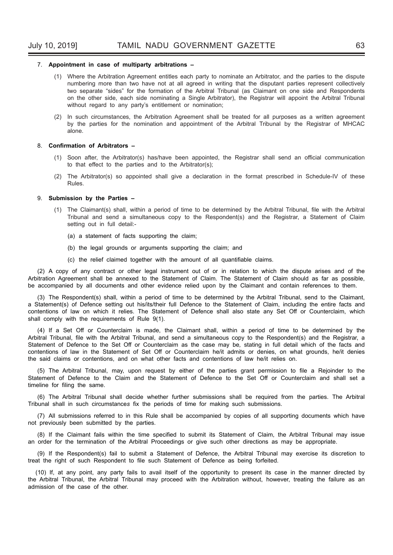#### 7. **Appointment in case of multiparty arbitrations –**

- (1) Where the Arbitration Agreement entitles each party to nominate an Arbitrator, and the parties to the dispute numbering more than two have not at all agreed in writing that the disputant parties represent collectively two separate "sides" for the formation of the Arbitral Tribunal (as Claimant on one side and Respondents on the other side, each side nominating a Single Arbitrator), the Registrar will appoint the Arbitral Tribunal without regard to any party's entitlement or nomination;
- (2) In such circumstances, the Arbitration Agreement shall be treated for all purposes as a written agreement by the parties for the nomination and appointment of the Arbitral Tribunal by the Registrar of MHCAC alone.

#### 8. **Confirmation of Arbitrators -**

- (1) Soon after, the Arbitrator(s) has/have been appointed, the Registrar shall send an official communication to that effect to the parties and to the Arbitrator(s);
- (2) The Arbitrator(s) so appointed shall give a declaration in the format prescribed in Schedule-IV of these Rules.

#### 9. **Submission by the Parties –**

- (1) The Claimant(s) shall, within a period of time to be determined by the Arbitral Tribunal, file with the Arbitral Tribunal and send a simultaneous copy to the Respondent(s) and the Registrar, a Statement of Claim setting out in full detail:-
	- (a) a statement of facts supporting the claim;
	- (b) the legal grounds or arguments supporting the claim; and
	- (c) the relief claimed together with the amount of all quantifiable claims.

(2) A copy of any contract or other legal instrument out of or in relation to which the dispute arises and of the Arbitration Agreement shall be annexed to the Statement of Claim. The Statement of Claim should as far as possible, be accompanied by all documents and other evidence relied upon by the Claimant and contain references to them.

(3) The Respondent(s) shall, within a period of time to be determined by the Arbitral Tribunal, send to the Claimant, a Statement(s) of Defence setting out his/its/their full Defence to the Statement of Claim, including the entire facts and contentions of law on which it relies. The Statement of Defence shall also state any Set Off or Counterclaim, which shall comply with the requirements of Rule 9(1).

(4) If a Set Off or Counterclaim is made, the Claimant shall, within a period of time to be determined by the Arbitral Tribunal, file with the Arbitral Tribunal, and send a simultaneous copy to the Respondent(s) and the Registrar, a Statement of Defence to the Set Off or Counterclaim as the case may be*,* stating in full detail which of the facts and contentions of law in the Statement of Set Off or Counterclaim he/it admits or denies, on what grounds, he/it denies the said claims or contentions, and on what other facts and contentions of law he/it relies on.

(5) The Arbitral Tribunal, may, upon request by either of the parties grant permission to file a Rejoinder to the Statement of Defence to the Claim and the Statement of Defence to the Set Off or Counterclaim and shall set a timeline for filing the same.

(6) The Arbitral Tribunal shall decide whether further submissions shall be required from the parties. The Arbitral Tribunal shall in such circumstances fix the periods of time for making such submissions.

(7) All submissions referred to in this Rule shall be accompanied by copies of all supporting documents which have not previously been submitted by the parties.

(8) If the Claimant fails within the time specified to submit its Statement of Claim, the Arbitral Tribunal may issue an order for the termination of the Arbitral Proceedings or give such other directions as may be appropriate.

(9) If the Respondent(s) fail to submit a Statement of Defence, the Arbitral Tribunal may exercise its discretion to treat the right of such Respondent to file such Statement of Defence as being forfeited.

(10) If, at any point, any party fails to avail itself of the opportunity to present its case in the manner directed by the Arbitral Tribunal, the Arbitral Tribunal may proceed with the Arbitration without, however, treating the failure as an admission of the case of the other.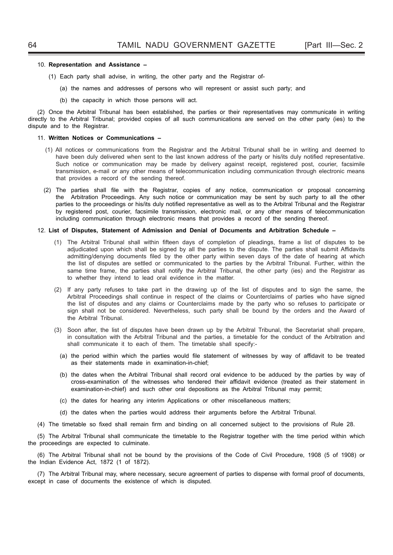#### 10. **Representation and Assistance –**

- (1) Each party shall advise, in writing, the other party and the Registrar of-
	- (a) the names and addresses of persons who will represent or assist such party; and
	- (b) the capacity in which those persons will act.

(2) Once the Arbitral Tribunal has been established, the parties or their representatives may communicate in writing directly to the Arbitral Tribunal; provided copies of all such communications are served on the other party (ies) to the dispute and to the Registrar.

#### 11. **Written Notices or Communications –**

- (1) All notices or communications from the Registrar and the Arbitral Tribunal shall be in writing and deemed to have been duly delivered when sent to the last known address of the party or his/its duly notified representative. Such notice or communication may be made by delivery against receipt, registered post, courier, facsimile transmission, e-mail or any other means of telecommunication including communication through electronic means that provides a record of the sending thereof.
- (2) The parties shall file with the Registrar, copies of any notice, communication or proposal concerning the Arbitration Proceedings. Any such notice or communication may be sent by such party to all the other parties to the proceedings or his/its duly notified representative as well as to the Arbitral Tribunal and the Registrar by registered post, courier, facsimile transmission*,* electronic mail, or any other means of telecommunication including communication through electronic means that provides a record of the sending thereof.

#### 12. **List of Disputes, Statement of Admission and Denial of Documents and Arbitration Schedule –**

- (1) The Arbitral Tribunal shall within fifteen days of completion of pleadings, frame a list of disputes to be adjudicated upon which shall be signed by all the parties to the dispute. The parties shall submit Affidavits admitting/denying documents filed by the other party within seven days of the date of hearing at which the list of disputes are settled or communicated to the parties by the Arbitral Tribunal. Further, within the same time frame, the parties shall notify the Arbitral Tribunal, the other party (ies) and the Registrar as to whether they intend to lead oral evidence in the matter.
- (2) If any party refuses to take part in the drawing up of the list of disputes and to sign the same, the Arbitral Proceedings shall continue in respect of the claims or Counterclaims of parties who have signed the list of disputes and any claims or Counterclaims made by the party who so refuses to participate or sign shall not be considered. Nevertheless, such party shall be bound by the orders and the Award of the Arbitral Tribunal.
- (3) Soon after, the list of disputes have been drawn up by the Arbitral Tribunal, the Secretariat shall prepare, in consultation with the Arbitral Tribunal and the parties, a timetable for the conduct of the Arbitration and shall communicate it to each of them. The timetable shall specify:-
	- (a) the period within which the parties would file statement of witnesses by way of affidavit to be treated as their statements made in examination-in-chief;
	- (b) the dates when the Arbitral Tribunal shall record oral evidence to be adduced by the parties by way of cross-examination of the witnesses who tendered their affidavit evidence (treated as their statement in examination-in-chief) and such other oral depositions as the Arbitral Tribunal may permit;
	- (c) the dates for hearing any interim Applications or other miscellaneous matters;
- (d) the dates when the parties would address their arguments before the Arbitral Tribunal.
- (4) The timetable so fixed shall remain firm and binding on all concerned subject to the provisions of Rule 28.

(5) The Arbitral Tribunal shall communicate the timetable to the Registrar together with the time period within which the proceedings are expected to culminate.

(6) The Arbitral Tribunal shall not be bound by the provisions of the Code of Civil Procedure, 1908 (5 of 1908) or the Indian Evidence Act, 1872 (1 of 1872).

(7) The Arbitral Tribunal may, where necessary, secure agreement of parties to dispense with formal proof of documents, except in case of documents the existence of which is disputed.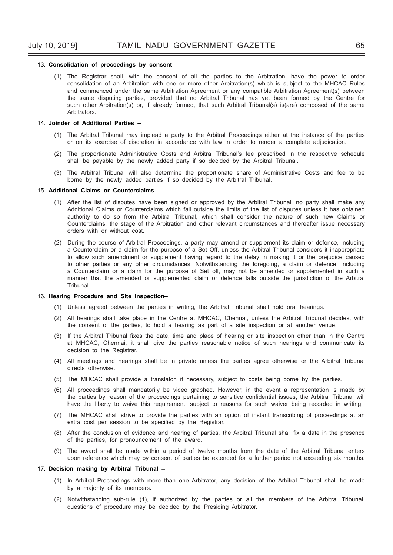#### 13. **Consolidation of proceedings by consent –**

(1) The Registrar shall, with the consent of all the parties to the Arbitration, have the power to order consolidation of an Arbitration with one or more other Arbitration(s) which is subject to the MHCAC Rules and commenced under the same Arbitration Agreement or any compatible Arbitration Agreement(s) between the same disputing parties, provided that no Arbitral Tribunal has yet been formed by the Centre for such other Arbitration(s) or, if already formed, that such Arbitral Tribunal(s) is(are) composed of the same Arbitrators.

#### 14. **Joinder of Additional Parties –**

- (1) The Arbitral Tribunal may implead a party to the Arbitral Proceedings either at the instance of the parties or on its exercise of discretion in accordance with law in order to render a complete adjudication.
- (2) The proportionate Administrative Costs and Arbitral Tribunal's fee prescribed in the respective schedule shall be payable by the newly added party if so decided by the Arbitral Tribunal.
- (3) The Arbitral Tribunal will also determine the proportionate share of Administrative Costs and fee to be borne by the newly added parties if so decided by the Arbitral Tribunal.

#### 15. **Additional Claims or Counterclaims –**

- (1) After the list of disputes have been signed or approved by the Arbitral Tribunal, no party shall make any Additional Claims or Counterclaims which fall outside the limits of the list of disputes unless it has obtained authority to do so from the Arbitral Tribunal, which shall consider the nature of such new Claims or Counterclaims, the stage of the Arbitration and other relevant circumstances and thereafter issue necessary orders with or without cost**.**
- (2) During the course of Arbitral Proceedings, a party may amend or supplement its claim or defence, including a Counterclaim or a claim for the purpose of a Set Off, unless the Arbitral Tribunal considers it inappropriate to allow such amendment or supplement having regard to the delay in making it or the prejudice caused to other parties or any other circumstances. Notwithstanding the foregoing, a claim or defence, including a Counterclaim or a claim for the purpose of Set off, may not be amended or supplemented in such a manner that the amended or supplemented claim or defence falls outside the jurisdiction of the Arbitral Tribunal.

#### 16. **Hearing Procedure and Site Inspection–**

- (1) Unless agreed between the parties in writing, the Arbitral Tribunal shall hold oral hearings.
- (2) All hearings shall take place in the Centre at MHCAC, Chennai, unless the Arbitral Tribunal decides, with the consent of the parties, to hold a hearing as part of a site inspection or at another venue.
- (3) If the Arbitral Tribunal fixes the date, time and place of hearing or site inspection other than in the Centre at MHCAC, Chennai, it shall give the parties reasonable notice of such hearings and communicate its decision to the Registrar.
- (4) All meetings and hearings shall be in private unless the parties agree otherwise or the Arbitral Tribunal directs otherwise.
- (5) The MHCAC shall provide a translator, if necessary, subject to costs being borne by the parties.
- (6) All proceedings shall mandatorily be video graphed. However, in the event a representation is made by the parties by reason of the proceedings pertaining to sensitive confidential issues, the Arbitral Tribunal will have the liberty to waive this requirement, subject to reasons for such waiver being recorded in writing.
- (7) The MHCAC shall strive to provide the parties with an option of instant transcribing of proceedings at an extra cost per session to be specified by the Registrar.
- (8) After the conclusion of evidence and hearing of parties, the Arbitral Tribunal shall fix a date in the presence of the parties, for pronouncement of the award.
- (9) The award shall be made within a period of twelve months from the date of the Arbitral Tribunal enters upon reference which may by consent of parties be extended for a further period not exceeding six months.

#### 17. **Decision making by Arbitral Tribunal –**

- (1) In Arbitral Proceedings with more than one Arbitrator, any decision of the Arbitral Tribunal shall be made by a majority of its members**.**
- (2) Notwithstanding sub-rule (1), if authorized by the parties or all the members of the Arbitral Tribunal, questions of procedure may be decided by the Presiding Arbitrator.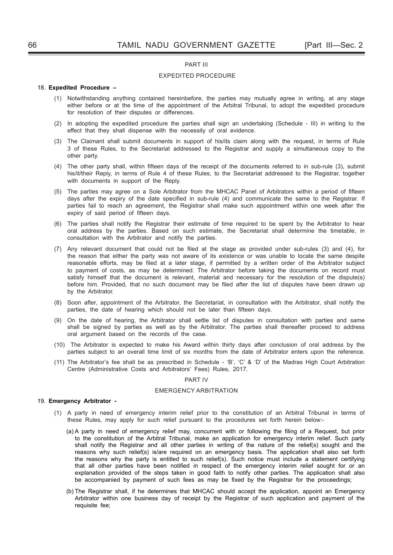#### PART III

## EXPEDITED PROCEDURE

#### 18. **Expedited Procedure –**

- (1) Notwithstanding anything contained hereinbefore, the parties may mutually agree in writing, at any stage either before or at the time of the appointment of the Arbitral Tribunal, to adopt the expedited procedure for resolution of their disputes or differences.
- (2) In adopting the expedited procedure the parties shall sign an undertaking (Schedule III) in writing to the effect that they shall dispense with the necessity of oral evidence.
- (3) The Claimant shall submit documents in support of his/its claim along with the request, in terms of Rule 3 of these Rules, to the Secretariat addressed to the Registrar and supply a simultaneous copy to the other party.
- (4) The other party shall, within fifteen days of the receipt of the documents referred to in sub-rule (3), submit his/it/their Reply, in terms of Rule 4 of these Rules, to the Secretariat addressed to the Registrar, together with documents in support of the Reply.
- (5) The parties may agree on a Sole Arbitrator from the MHCAC Panel of Arbitrators within a period of fifteen days after the expiry of the date specified in sub-rule (4) and communicate the same to the Registrar. If parties fail to reach an agreement, the Registrar shall make such appointment within one week after the expiry of said period of fifteen days.
- (6) The parties shall notify the Registrar their estimate of time required to be spent by the Arbitrator to hear oral address by the parties. Based on such estimate, the Secretariat shall determine the timetable, in consultation with the Arbitrator and notify the parties.
- (7) Any relevant document that could not be filed at the stage as provided under sub-rules (3) and (4), for the reason that either the party was not aware of its existence or was unable to locate the same despite reasonable efforts, may be filed at a later stage, if permitted by a written order of the Arbitrator subject to payment of costs, as may be determined. The Arbitrator before taking the documents on record must satisfy himself that the document is relevant, material and necessary for the resolution of the dispute(s) before him. Provided, that no such document may be filed after the list of disputes have been drawn up by the Arbitrator.
- (8) Soon after, appointment of the Arbitrator, the Secretariat, in consultation with the Arbitrator, shall notify the parties, the date of hearing which should not be later than fifteen days.
- (9) On the date of hearing, the Arbitrator shall settle list of disputes in consultation with parties and same shall be signed by parties as well as by the Arbitrator. The parties shall thereafter proceed to address oral argument based on the records of the case.
- (10) The Arbitrator is expected to make his Award within thirty days after conclusion of oral address by the parties subject to an overall time limit of six months from the date of Arbitrator enters upon the reference.
- (11) The Arbitrator's fee shall be as prescribed in Schedule 'B', 'C' & 'D' of the Madras High Court Arbitration Centre (Administrative Costs and Arbitrators' Fees) Rules, 2017.

#### PART IV

#### EMERGENCY ARBITRATION

#### 19. **Emergency Arbitrator -**

- (1) A party in need of emergency interim relief prior to the constitution of an Arbitral Tribunal in terms of these Rules, may apply for such relief pursuant to the procedures set forth herein below:-
	- (a) A party in need of emergency relief may, concurrent with or following the filing of a Request, but prior to the constitution of the Arbitral Tribunal, make an application for emergency interim relief. Such party shall notify the Registrar and all other parties in writing of the nature of the relief(s) sought and the reasons why such relief(s) is/are required on an emergency basis. The application shall also set forth the reasons why the party is entitled to such relief(s). Such notice must include a statement certifying that all other parties have been notified in respect of the emergency interim relief sought for or an explanation provided of the steps taken in good faith to notify other parties. The application shall also be accompanied by payment of such fees as may be fixed by the Registrar for the proceedings;
	- (b) The Registrar shall, if he determines that MHCAC should accept the application, appoint an Emergency Arbitrator within one business day of receipt by the Registrar of such application and payment of the requisite fee;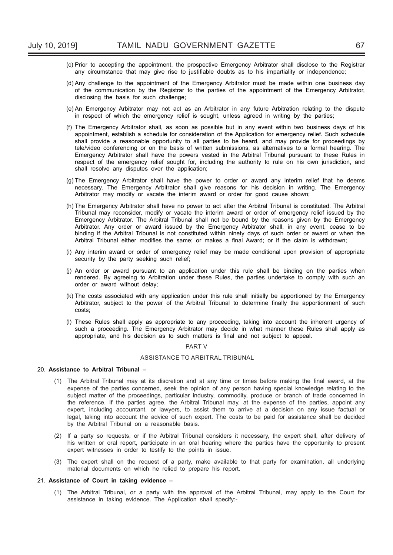- (c) Prior to accepting the appointment, the prospective Emergency Arbitrator shall disclose to the Registrar any circumstance that may give rise to justifiable doubts as to his impartiality or independence;
- (d) Any challenge to the appointment of the Emergency Arbitrator must be made within one business day of the communication by the Registrar to the parties of the appointment of the Emergency Arbitrator, disclosing the basis for such challenge;
- (e) An Emergency Arbitrator may not act as an Arbitrator in any future Arbitration relating to the dispute in respect of which the emergency relief is sought, unless agreed in writing by the parties;
- (f) The Emergency Arbitrator shall, as soon as possible but in any event within two business days of his appointment, establish a schedule for consideration of the Application for emergency relief. Such schedule shall provide a reasonable opportunity to all parties to be heard, and may provide for proceedings by tele/video conferencing or on the basis of written submissions, as alternatives to a formal hearing. The Emergency Arbitrator shall have the powers vested in the Arbitral Tribunal pursuant to these Rules in respect of the emergency relief sought for, including the authority to rule on his own jurisdiction, and shall resolve any disputes over the application;
- (g) The Emergency Arbitrator shall have the power to order or award any interim relief that he deems necessary. The Emergency Arbitrator shall give reasons for his decision in writing. The Emergency Arbitrator may modify or vacate the interim award or order for good cause shown:
- (h) The Emergency Arbitrator shall have no power to act after the Arbitral Tribunal is constituted. The Arbitral Tribunal may reconsider, modify or vacate the interim award or order of emergency relief issued by the Emergency Arbitrator. The Arbitral Tribunal shall not be bound by the reasons given by the Emergency Arbitrator. Any order or award issued by the Emergency Arbitrator shall, in any event, cease to be binding if the Arbitral Tribunal is not constituted within ninety days of such order or award or when the Arbitral Tribunal either modifies the same; or makes a final Award; or if the claim is withdrawn;
- (i) Any interim award or order of emergency relief may be made conditional upon provision of appropriate security by the party seeking such relief:
- (j) An order or award pursuant to an application under this rule shall be binding on the parties when rendered. By agreeing to Arbitration under these Rules, the parties undertake to comply with such an order or award without delay;
- (k) The costs associated with any application under this rule shall initially be apportioned by the Emergency Arbitrator, subject to the power of the Arbitral Tribunal to determine finally the apportionment of such costs;
- (l) These Rules shall apply as appropriate to any proceeding, taking into account the inherent urgency of such a proceeding. The Emergency Arbitrator may decide in what manner these Rules shall apply as appropriate, and his decision as to such matters is final and not subject to appeal.

## PART V

## ASSISTANCE TO ARBITRAL TRIBUNAL

#### 20. **Assistance to Arbitral Tribunal –**

- (1) The Arbitral Tribunal may at its discretion and at any time or times before making the final award, at the expense of the parties concerned, seek the opinion of any person having special knowledge relating to the subject matter of the proceedings, particular industry, commodity, produce or branch of trade concerned in the reference. If the parties agree, the Arbitral Tribunal may, at the expense of the parties, appoint any expert, including accountant, or lawyers, to assist them to arrive at a decision on any issue factual or legal, taking into account the advice of such expert. The costs to be paid for assistance shall be decided by the Arbitral Tribunal on a reasonable basis.
- (2) If a party so requests, or if the Arbitral Tribunal considers it necessary, the expert shall, after delivery of his written or oral report, participate in an oral hearing where the parties have the opportunity to present expert witnesses in order to testify to the points in issue.
- (3) The expert shall on the request of a party, make available to that party for examination, all underlying material documents on which he relied to prepare his report.

#### 21. **Assistance of Court in taking evidence –**

(1) The Arbitral Tribunal, or a party with the approval of the Arbitral Tribunal, may apply to the Court for assistance in taking evidence. The Application shall specify:-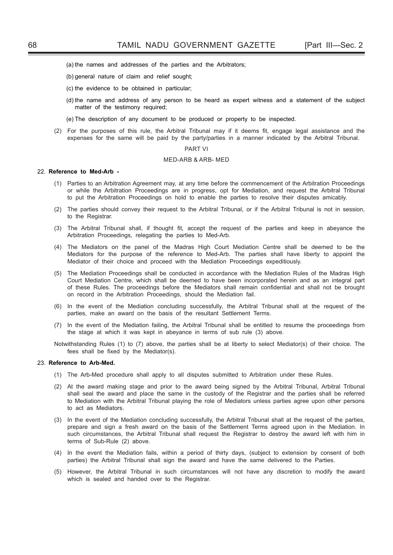- (a) the names and addresses of the parties and the Arbitrators;
- (b) general nature of claim and relief sought;
- (c) the evidence to be obtained in particular;
- (d) the name and address of any person to be heard as expert witness and a statement of the subject matter of the testimony required:
- (e) The description of any document to be produced or property to be inspected.
- (2) For the purposes of this rule, the Arbitral Tribunal may if it deems fit, engage legal assistance and the expenses for the same will be paid by the party/parties in a manner indicated by the Arbitral Tribunal.

#### PART VI

#### MED-ARB & ARB- MED

#### 22. **Reference to Med-Arb -**

- (1) Parties to an Arbitration Agreement may, at any time before the commencement of the Arbitration Proceedings or while the Arbitration Proceedings are in progress, opt for Mediation, and request the Arbitral Tribunal to put the Arbitration Proceedings on hold to enable the parties to resolve their disputes amicably.
- (2) The parties should convey their request to the Arbitral Tribunal, or if the Arbitral Tribunal is not in session, to the Registrar.
- (3) The Arbitral Tribunal shall, if thought fit, accept the request of the parties and keep in abeyance the Arbitration Proceedings, relegating the parties to Med-Arb.
- (4) The Mediators on the panel of the Madras High Court Mediation Centre shall be deemed to be the Mediators for the purpose of the reference to Med-Arb. The parties shall have liberty to appoint the Mediator of their choice and proceed with the Mediation Proceedings expeditiously.
- (5) The Mediation Proceedings shall be conducted in accordance with the Mediation Rules of the Madras High Court Mediation Centre, which shall be deemed to have been incorporated herein and as an integral part of these Rules. The proceedings before the Mediators shall remain confidential and shall not be brought on record in the Arbitration Proceedings, should the Mediation fail.
- (6) In the event of the Mediation concluding successfully, the Arbitral Tribunal shall at the request of the parties, make an award on the basis of the resultant Settlement Terms.
- (7) In the event of the Mediation failing, the Arbitral Tribunal shall be entitled to resume the proceedings from the stage at which it was kept in abeyance in terms of sub rule (3) above.
- Notwithstanding Rules (1) to (7) above, the parties shall be at liberty to select Mediator(s) of their choice. The fees shall be fixed by the Mediator(s).

#### 23. **Reference to Arb-Med.**

- (1) The Arb-Med procedure shall apply to all disputes submitted to Arbitration under these Rules.
- (2) At the award making stage and prior to the award being signed by the Arbitral Tribunal, Arbitral Tribunal shall seal the award and place the same in the custody of the Registrar and the parties shall be referred to Mediation with the Arbitral Tribunal playing the role of Mediators unless parties agree upon other persons to act as Mediators.
- (3) In the event of the Mediation concluding successfully, the Arbitral Tribunal shall at the request of the parties, prepare and sign a fresh award on the basis of the Settlement Terms agreed upon in the Mediation. In such circumstances, the Arbitral Tribunal shall request the Registrar to destroy the award left with him in terms of Sub-Rule (2) above.
- (4) In the event the Mediation fails, within a period of thirty days, (subject to extension by consent of both parties) the Arbitral Tribunal shall sign the award and have the same delivered to the Parties.
- (5) However, the Arbitral Tribunal in such circumstances will not have any discretion to modify the award which is sealed and handed over to the Registrar.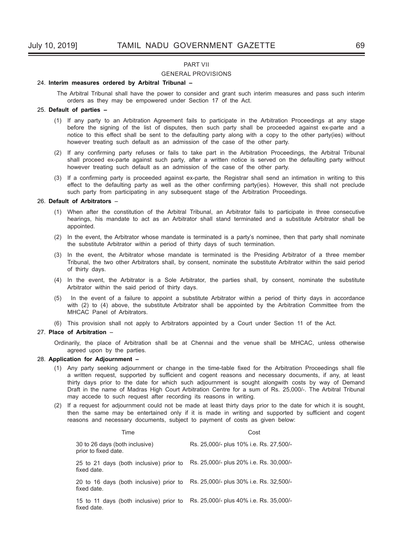#### PART VII

#### GENERAL PROVISIONS

#### 24. **Interim measures ordered by Arbitral Tribunal –**

 The Arbitral Tribunal shall have the power to consider and grant such interim measures and pass such interim orders as they may be empowered under Section 17 of the Act.

#### 25. **Default of parties –**

- (1) If any party to an Arbitration Agreement fails to participate in the Arbitration Proceedings at any stage before the signing of the list of disputes, then such party shall be proceeded against ex-parte and a notice to this effect shall be sent to the defaulting party along with a copy to the other party(ies) without however treating such default as an admission of the case of the other party.
- (2) If any confirming party refuses or fails to take part in the Arbitration Proceedings, the Arbitral Tribunal shall proceed ex-parte against such party*,* after a written notice is served on the defaulting party without however treating such default as an admission of the case of the other party.
- (3) If a confi rming party is proceeded against ex-parte*,* the Registrar shall send an intimation in writing to this effect to the defaulting party as well as the other confirming party(ies). However, this shall not preclude such party from participating in any subsequent stage of the Arbitration Proceedings.

## 26. **Default of Arbitrators** –

- (1) When after the constitution of the Arbitral Tribunal, an Arbitrator fails to participate in three consecutive hearings, his mandate to act as an Arbitrator shall stand terminated and a substitute Arbitrator shall be appointed.
- (2) In the event, the Arbitrator whose mandate is terminated is a party's nominee, then that party shall nominate the substitute Arbitrator within a period of thirty days of such termination.
- (3) In the event, the Arbitrator whose mandate is terminated is the Presiding Arbitrator of a three member Tribunal, the two other Arbitrators shall, by consent, nominate the substitute Arbitrator within the said period of thirty days.
- (4) In the event, the Arbitrator is a Sole Arbitrator, the parties shall, by consent, nominate the substitute Arbitrator within the said period of thirty days.
- (5) In the event of a failure to appoint a substitute Arbitrator within a period of thirty days in accordance with (2) to (4) above, the substitute Arbitrator shall be appointed by the Arbitration Committee from the MHCAC Panel of Arbitrators.

(6) This provision shall not apply to Arbitrators appointed by a Court under Section 11 of the Act.

## 27. **Place of Arbitration** –

Ordinarily, the place of Arbitration shall be at Chennai and the venue shall be MHCAC, unless otherwise agreed upon by the parties.

## 28. **Application for Adjournment –**

- (1) Any party seeking adjournment or change in the time-table fixed for the Arbitration Proceedings shall file a written request, supported by sufficient and cogent reasons and necessary documents, if any, at least thirty days prior to the date for which such adjournment is sought alongwith costs by way of Demand Draft in the name of Madras High Court Arbitration Centre for a sum of Rs. 25,000/-. The Arbitral Tribunal may accede to such request after recording its reasons in writing.
- (2) If a request for adjournment could not be made at least thirty days prior to the date for which it is sought, then the same may be entertained only if it is made in writing and supported by sufficient and cogent reasons and necessary documents, subject to payment of costs as given below:

| Time                                                   | Cost                                    |
|--------------------------------------------------------|-----------------------------------------|
| 30 to 26 days (both inclusive)<br>prior to fixed date. | Rs. 25,000/- plus 10% i.e. Rs. 27,500/- |
| 25 to 21 days (both inclusive) prior to<br>fixed date. | Rs. 25,000/- plus 20% i.e. Rs. 30,000/- |
| 20 to 16 days (both inclusive) prior to<br>fixed date. | Rs. 25,000/- plus 30% i.e. Rs. 32,500/- |
| 15 to 11 days (both inclusive) prior to<br>fixed date. | Rs. 25,000/- plus 40% i.e. Rs. 35,000/- |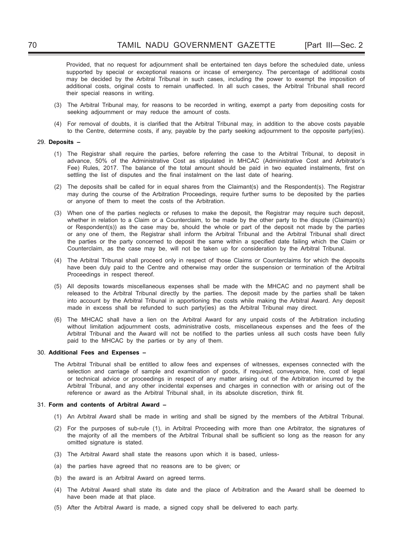Provided, that no request for adjournment shall be entertained ten days before the scheduled date, unless supported by special or exceptional reasons or incase of emergency. The percentage of additional costs may be decided by the Arbitral Tribunal in such cases, including the power to exempt the imposition of additional costs, original costs to remain unaffected. In all such cases, the Arbitral Tribunal shall record their special reasons in writing.

- (3) The Arbitral Tribunal may, for reasons to be recorded in writing, exempt a party from depositing costs for seeking adjournment or may reduce the amount of costs.
- (4) For removal of doubts, it is clarified that the Arbitral Tribunal may, in addition to the above costs payable to the Centre, determine costs, if any, payable by the party seeking adjournment to the opposite party(ies).

#### 29. **Deposits –**

- (1) The Registrar shall require the parties, before referring the case to the Arbitral Tribunal, to deposit in advance, 50% of the Administrative Cost as stipulated in MHCAC (Administrative Cost and Arbitrator's Fee) Rules, 2017. The balance of the total amount should be paid in two equated instalments, first on settling the list of disputes and the final instalment on the last date of hearing.
- (2) The deposits shall be called for in equal shares from the Claimant(s) and the Respondent(s). The Registrar may during the course of the Arbitration Proceedings, require further sums to be deposited by the parties or anyone of them to meet the costs of the Arbitration.
- (3) When one of the parties neglects or refuses to make the deposit, the Registrar may require such deposit, whether in relation to a Claim or a Counterclaim, to be made by the other party to the dispute (Claimant(s) or Respondent(s)) as the case may be, should the whole or part of the deposit not made by the parties or any one of them, the Registrar shall inform the Arbitral Tribunal and the Arbitral Tribunal shall direct the parties or the party concerned to deposit the same within a specified date failing which the Claim or Counterclaim, as the case may be, will not be taken up for consideration by the Arbitral Tribunal.
- (4) The Arbitral Tribunal shall proceed only in respect of those Claims or Counterclaims for which the deposits have been duly paid to the Centre and otherwise may order the suspension or termination of the Arbitral Proceedings in respect thereof.
- (5) All deposits towards miscellaneous expenses shall be made with the MHCAC and no payment shall be released to the Arbitral Tribunal directly by the parties. The deposit made by the parties shall be taken into account by the Arbitral Tribunal in apportioning the costs while making the Arbitral Award. Any deposit made in excess shall be refunded to such party(ies) as the Arbitral Tribunal may direct.
- (6) The MHCAC shall have a lien on the Arbitral Award for any unpaid costs of the Arbitration including without limitation adjournment costs, administrative costs, miscellaneous expenses and the fees of the Arbitral Tribunal and the Award will not be notified to the parties unless all such costs have been fully paid to the MHCAC by the parties or by any of them.

#### 30. **Additional Fees and Expenses –**

The Arbitral Tribunal shall be entitled to allow fees and expenses of witnesses, expenses connected with the selection and carriage of sample and examination of goods, if required, conveyance, hire, cost of legal or technical advice or proceedings in respect of any matter arising out of the Arbitration incurred by the Arbitral Tribunal, and any other incidental expenses and charges in connection with or arising out of the reference or award as the Arbitral Tribunal shall, in its absolute discretion, think fit.

#### 31. **Form and contents of Arbitral Award –**

- (1) An Arbitral Award shall be made in writing and shall be signed by the members of the Arbitral Tribunal.
- (2) For the purposes of sub-rule (1), in Arbitral Proceeding with more than one Arbitrator, the signatures of the majority of all the members of the Arbitral Tribunal shall be sufficient so long as the reason for any omitted signature is stated.
- (3) The Arbitral Award shall state the reasons upon which it is based, unless-
- (a) the parties have agreed that no reasons are to be given; or
- (b) the award is an Arbitral Award on agreed terms.
- (4) The Arbitral Award shall state its date and the place of Arbitration and the Award shall be deemed to have been made at that place.
- (5) After the Arbitral Award is made, a signed copy shall be delivered to each party.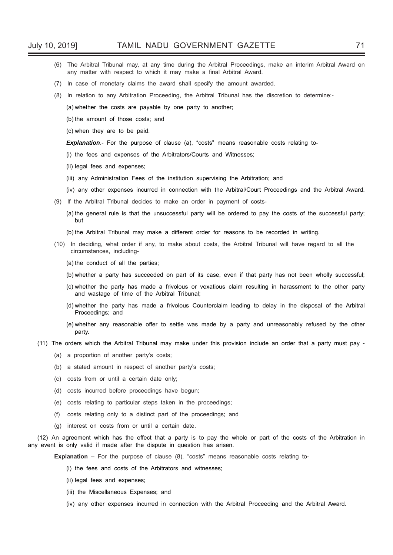- (6) The Arbitral Tribunal may, at any time during the Arbitral Proceedings, make an interim Arbitral Award on any matter with respect to which it may make a final Arbitral Award.
- (7) In case of monetary claims the award shall specify the amount awarded.
- (8) In relation to any Arbitration Proceeding, the Arbitral Tribunal has the discretion to determine:-

(a) whether the costs are payable by one party to another;

(b) the amount of those costs; and

(c) when they are to be paid.

**Explanation**.- For the purpose of clause (a), "costs" means reasonable costs relating to-

- (i) the fees and expenses of the Arbitrators/Courts and Witnesses;
- (ii) legal fees and expenses;
- (iii) any Administration Fees of the institution supervising the Arbitration; and
- (iv) any other expenses incurred in connection with the Arbitral/Court Proceedings and the Arbitral Award.
- (9) If the Arbitral Tribunal decides to make an order in payment of costs-
	- (a) the general rule is that the unsuccessful party will be ordered to pay the costs of the successful party; but
	- (b) the Arbitral Tribunal may make a different order for reasons to be recorded in writing.
- (10) In deciding, what order if any, to make about costs, the Arbitral Tribunal will have regard to all the circumstances, including-
	- (a) the conduct of all the parties;
	- (b) whether a party has succeeded on part of its case, even if that party has not been wholly successful;
	- (c) whether the party has made a frivolous or vexatious claim resulting in harassment to the other party and wastage of time of the Arbitral Tribunal;
	- (d) whether the party has made a frivolous Counterclaim leading to delay in the disposal of the Arbitral Proceedings; and
	- (e) whether any reasonable offer to settle was made by a party and unreasonably refused by the other party.
- (11) The orders which the Arbitral Tribunal may make under this provision include an order that a party must pay
	- (a) a proportion of another party's costs;
	- (b) a stated amount in respect of another party's costs;
	- (c) costs from or until a certain date only;
	- (d) costs incurred before proceedings have begun;
	- (e) costs relating to particular steps taken in the proceedings;
	- (f) costs relating only to a distinct part of the proceedings; and
	- (g) interest on costs from or until a certain date.

(12) An agreement which has the effect that a party is to pay the whole or part of the costs of the Arbitration in any event is only valid if made after the dispute in question has arisen.

**Explanation –** For the purpose of clause (8), "costs" means reasonable costs relating to-

- (i) the fees and costs of the Arbitrators and witnesses;
- (ii) legal fees and expenses;
- (iii) the Miscellaneous Expenses; and
- (iv) any other expenses incurred in connection with the Arbitral Proceeding and the Arbitral Award.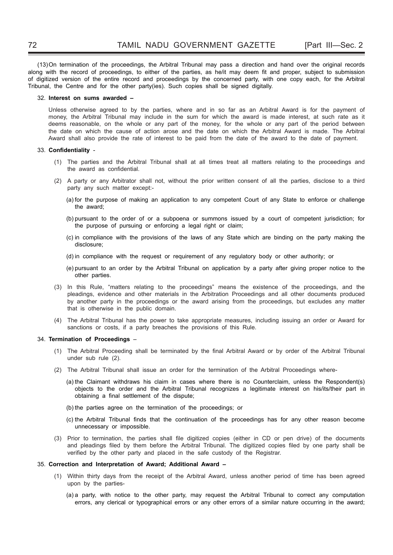(13) On termination of the proceedings, the Arbitral Tribunal may pass a direction and hand over the original records along with the record of proceedings, to either of the parties, as he/it may deem fit and proper, subject to submission of digitized version of the entire record and proceedings by the concerned party, with one copy each, for the Arbitral Tribunal, the Centre and for the other party(ies). Such copies shall be signed digitally.

#### 32. **Interest on sums awarded –**

Unless otherwise agreed to by the parties, where and in so far as an Arbitral Award is for the payment of money, the Arbitral Tribunal may include in the sum for which the award is made interest, at such rate as it deems reasonable, on the whole or any part of the money, for the whole or any part of the period between the date on which the cause of action arose and the date on which the Arbitral Award is made. The Arbitral Award shall also provide the rate of interest to be paid from the date of the award to the date of payment.

#### 33. Confidentiality -

- (1) The parties and the Arbitral Tribunal shall at all times treat all matters relating to the proceedings and the award as confidential.
- (2) A party or any Arbitrator shall not, without the prior written consent of all the parties, disclose to a third party any such matter except:-
	- (a) for the purpose of making an application to any competent Court of any State to enforce or challenge the award;
	- (b) pursuant to the order of or a subpoena or summons issued by a court of competent jurisdiction; for the purpose of pursuing or enforcing a legal right or claim;
	- (c) in compliance with the provisions of the laws of any State which are binding on the party making the disclosure;
	- (d) in compliance with the request or requirement of any regulatory body or other authority; or
	- (e) pursuant to an order by the Arbitral Tribunal on application by a party after giving proper notice to the other parties.
- (3) In this Rule, "matters relating to the proceedings" means the existence of the proceedings, and the pleadings, evidence and other materials in the Arbitration Proceedings and all other documents produced by another party in the proceedings or the award arising from the proceedings, but excludes any matter that is otherwise in the public domain.
- (4) The Arbitral Tribunal has the power to take appropriate measures, including issuing an order or Award for sanctions or costs, if a party breaches the provisions of this Rule.

#### 34. **Termination of Proceedings** –

- (1) The Arbitral Proceeding shall be terminated by the final Arbitral Award or by order of the Arbitral Tribunal under sub rule (2).
- (2) The Arbitral Tribunal shall issue an order for the termination of the Arbitral Proceedings where-
	- (a) the Claimant withdraws his claim in cases where there is no Counterclaim, unless the Respondent(s) objects to the order and the Arbitral Tribunal recognizes a legitimate interest on his/its/their part in obtaining a final settlement of the dispute:
	- (b) the parties agree on the termination of the proceedings; or
	- (c) the Arbitral Tribunal finds that the continuation of the proceedings has for any other reason become unnecessary or impossible.
- (3) Prior to termination, the parties shall file digitized copies (either in CD or pen drive) of the documents and pleadings filed by them before the Arbitral Tribunal. The digitized copies filed by one party shall be verified by the other party and placed in the safe custody of the Registrar.

#### 35. **Correction and Interpretation of Award; Additional Award –**

- (1) Within thirty days from the receipt of the Arbitral Award, unless another period of time has been agreed upon by the parties-
	- (a) a party, with notice to the other party, may request the Arbitral Tribunal to correct any computation errors, any clerical or typographical errors or any other errors of a similar nature occurring in the award;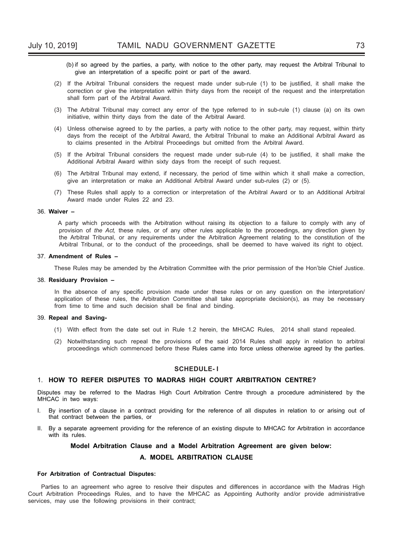- (b) if so agreed by the parties, a party, with notice to the other party, may request the Arbitral Tribunal to give an interpretation of a specific point or part of the award.
- (2) If the Arbitral Tribunal considers the request made under sub-rule (1) to be justified, it shall make the correction or give the interpretation within thirty days from the receipt of the request and the interpretation shall form part of the Arbitral Award.
- (3) The Arbitral Tribunal may correct any error of the type referred to in sub-rule (1) clause (a) on its own initiative, within thirty days from the date of the Arbitral Award.
- (4) Unless otherwise agreed to by the parties, a party with notice to the other party, may request, within thirty days from the receipt of the Arbitral Award, the Arbitral Tribunal to make an Additional Arbitral Award as to claims presented in the Arbitral Proceedings but omitted from the Arbitral Award.
- (5) If the Arbitral Tribunal considers the request made under sub-rule (4) to be justified, it shall make the Additional Arbitral Award within sixty days from the receipt of such request.
- (6) The Arbitral Tribunal may extend, if necessary, the period of time within which it shall make a correction, give an interpretation or make an Additional Arbitral Award under sub-rules (2) or (5).
- (7) These Rules shall apply to a correction or interpretation of the Arbitral Award or to an Additional Arbitral Award made under Rules 22 and 23.

#### 36. **Waiver –**

A party which proceeds with the Arbitration without raising its objection to a failure to comply with any of provision of *the Act,* these rules, or of any other rules applicable to the proceedings, any direction given by the Arbitral Tribunal, or any requirements under the Arbitration Agreement relating to the constitution of the Arbitral Tribunal, or to the conduct of the proceedings, shall be deemed to have waived its right to object.

#### 37. **Amendment of Rules –**

These Rules may be amended by the Arbitration Committee with the prior permission of the Hon'ble Chief Justice.

#### 38. **Residuary Provision –**

In the absence of any specific provision made under these rules or on any question on the interpretation/ application of these rules, the Arbitration Committee shall take appropriate decision(s), as may be necessary from time to time and such decision shall be final and binding.

#### 39. **Repeal and Saving-**

- (1) With effect from the date set out in Rule 1.2 herein, the MHCAC Rules, 2014 shall stand repealed.
- (2) Notwithstanding such repeal the provisions of the said 2014 Rules shall apply in relation to arbitral proceedings which commenced before these Rules came into force unless otherwise agreed by the parties.

#### **SCHEDULE- I**

#### 1. **HOW TO REFER DISPUTES TO MADRAS HIGH COURT ARBITRATION CENTRE?**

Disputes may be referred to the Madras High Court Arbitration Centre through a procedure administered by the MHCAC in two ways:

- I. By insertion of a clause in a contract providing for the reference of all disputes in relation to or arising out of that contract between the parties, or
- II. By a separate agreement providing for the reference of an existing dispute to MHCAC for Arbitration in accordance with its rules.

## **Model Arbitration Clause and a Model Arbitration Agreement are given below: A. MODEL ARBITRATION CLAUSE**

#### **For Arbitration of Contractual Disputes:**

Parties to an agreement who agree to resolve their disputes and differences in accordance with the Madras High Court Arbitration Proceedings Rules, and to have the MHCAC as Appointing Authority and/or provide administrative services, may use the following provisions in their contract;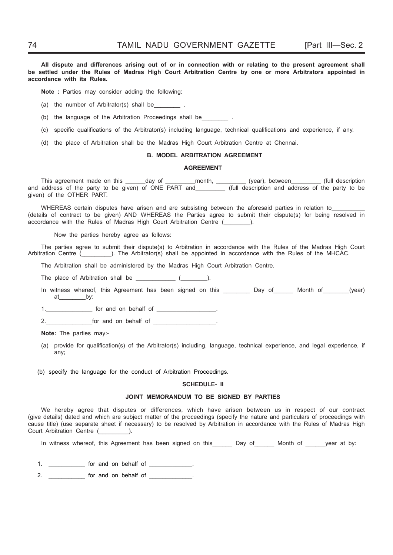All dispute and differences arising out of or in connection with or relating to the present agreement shall **be settled under the Rules of Madras High Court Arbitration Centre by one or more Arbitrators appointed in accordance with its Rules.**

**Note :** Parties may consider adding the following:

(a) the number of Arbitrator(s) shall be\_\_\_\_

(b) the language of the Arbitration Proceedings shall be  $\qquad \qquad$ .

(c) specific qualifications of the Arbitrator(s) including language, technical qualifications and experience, if any.

(d) the place of Arbitration shall be the Madras High Court Arbitration Centre at Chennai.

#### **B. MODEL ARBITRATION AGREEMENT**

#### **AGREEMENT**

This agreement made on this \_\_\_\_\_\_day of \_\_\_\_\_\_\_\_\_month, \_\_\_\_\_\_\_\_\_\_ (year), between \_\_\_\_\_\_\_\_ (full description and address of the party to be given) of ONE PART and\_\_\_\_\_\_\_\_\_ (full description and address of the party to be given) of the OTHER PART.

WHEREAS certain disputes have arisen and are subsisting between the aforesaid parties in relation to (details of contract to be given) AND WHEREAS the Parties agree to submit their dispute(s) for being resolved in accordance with the Rules of Madras High Court Arbitration Centre ( $\qquad \qquad$ ).

Now the parties hereby agree as follows:

The parties agree to submit their dispute(s) to Arbitration in accordance with the Rules of the Madras High Court Arbitration Centre (\_\_\_\_\_\_\_\_\_\_). The Arbitrator(s) shall be appointed in accordance with the Rules of the MHCAC.

The Arbitration shall be administered by the Madras High Court Arbitration Centre.

The place of Arbitration shall be \_\_\_\_\_\_\_\_\_\_\_\_ (\_\_\_\_\_\_\_\_).

- In witness whereof, this Agreement has been signed on this \_\_\_\_\_\_\_\_ Day of \_\_\_\_\_ Month of \_\_\_\_\_(year) at\_\_\_\_\_\_\_\_by:
- for and on behalf of **the same of the same of the same of the same of the same of the same of the same of the s**

2. The form and on behalf of  $\overline{a}$ 

**Note:** The parties may:-

(a) provide for qualification(s) of the Arbitrator(s) including, language, technical experience, and legal experience, if any;

(b) specify the language for the conduct of Arbitration Proceedings.

#### **SCHEDULE- II**

#### **JOINT MEMORANDUM TO BE SIGNED BY PARTIES**

We hereby agree that disputes or differences, which have arisen between us in respect of our contract (give details) dated and which are subject matter of the proceedings (specify the nature and particulars of proceedings with cause title) (use separate sheet if necessary) to be resolved by Arbitration in accordance with the Rules of Madras High Court Arbitration Centre (  $\qquad$  ).

In witness whereof, this Agreement has been signed on this and Day of a Month of a year at by:

1. **the formulate on behalf of the state of the state of the state of the state of the state of the state of the state of the state of the state of the state of the state of the state of the state of the state of the state** 

2. \_\_\_\_\_\_\_\_\_\_\_\_\_ for and on behalf of \_\_\_\_\_\_\_\_\_\_\_\_\_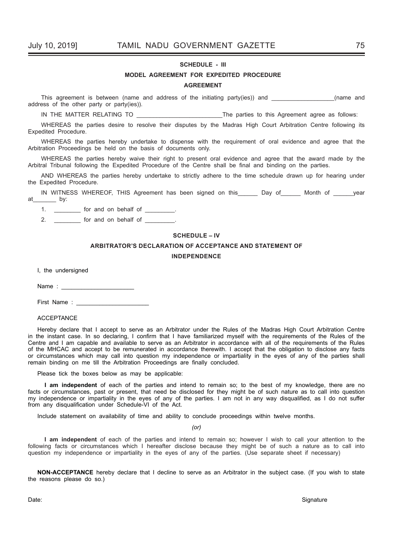#### **SCHEDULE - III**

## **MODEL AGREEMENT FOR EXPEDITED PROCEDURE**

#### **AGREEMENT**

This agreement is between (name and address of the initiating party(ies)) and **The Committed and** (name and address of the other party or party(ies)).

IN THE MATTER RELATING TO **Example 20 The parties to this Agreement agree as follows:** 

WHEREAS the parties desire to resolve their disputes by the Madras High Court Arbitration Centre following its Expedited Procedure.

WHEREAS the parties hereby undertake to dispense with the requirement of oral evidence and agree that the Arbitration Proceedings be held on the basis of documents only.

WHEREAS the parties hereby waive their right to present oral evidence and agree that the award made by the Arbitral Tribunal following the Expedited Procedure of the Centre shall be final and binding on the parties.

AND WHEREAS the parties hereby undertake to strictly adhere to the time schedule drawn up for hearing under the Expedited Procedure.

IN WITNESS WHEREOF, THIS Agreement has been signed on this bound por the Month of the year at by:

1. \_\_\_\_\_\_\_\_\_\_ for and on behalf of \_\_\_\_\_\_\_\_\_.

2. **the formulate on behalf of the state of the state of the state of the state of the state of the state of the state of the state of the state of the state of the state of the state of the state of the state of the state** 

## **SCHEDULE – IV**

## **ARBITRATOR'S DECLARATION OF ACCEPTANCE AND STATEMENT OF INDEPENDENCE**

I, the undersigned

Name :

First Name : \_\_\_\_\_

#### ACCEPTANCE

Hereby declare that I accept to serve as an Arbitrator under the Rules of the Madras High Court Arbitration Centre in the instant case. In so declaring, I confirm that I have familiarized myself with the requirements of the Rules of the Centre and I am capable and available to serve as an Arbitrator in accordance with all of the requirements of the Rules of the MHCAC and accept to be remunerated in accordance therewith. I accept that the obligation to disclose any facts or circumstances which may call into question my independence or impartiality in the eyes of any of the parties shall remain binding on me till the Arbitration Proceedings are finally concluded.

Please tick the boxes below as may be applicable:

**I am independent** of each of the parties and intend to remain so; to the best of my knowledge, there are no facts or circumstances, past or present, that need be disclosed for they might be of such nature as to call into question my independence or impartiality in the eyes of any of the parties. I am not in any way disqualified, as I do not suffer from any disqualification under Schedule-VI of the Act.

Include statement on availability of time and ability to conclude proceedings within twelve months.

*(or)*

 **I am independent** of each of the parties and intend to remain so; however I wish to call your attention to the following facts or circumstances which I hereafter disclose because they might be of such a nature as to call into question my independence or impartiality in the eyes of any of the parties. (Use separate sheet if necessary)

**NON-ACCEPTANCE** hereby declare that I decline to serve as an Arbitrator in the subject case. (If you wish to state the reasons please do so.)

Date: Signature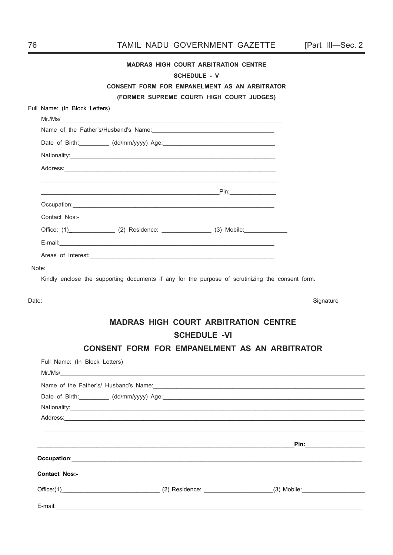|       |                               |                                                                                                  | <b>MADRAS HIGH COURT ARBITRATION CENTRE</b> |                                                                                                                                                                                                                                      |
|-------|-------------------------------|--------------------------------------------------------------------------------------------------|---------------------------------------------|--------------------------------------------------------------------------------------------------------------------------------------------------------------------------------------------------------------------------------------|
|       |                               |                                                                                                  | <b>SCHEDULE - V</b>                         |                                                                                                                                                                                                                                      |
|       |                               | <b>CONSENT FORM FOR EMPANELMENT AS AN ARBITRATOR</b>                                             |                                             |                                                                                                                                                                                                                                      |
|       |                               |                                                                                                  | (FORMER SUPREME COURT/ HIGH COURT JUDGES)   |                                                                                                                                                                                                                                      |
|       | Full Name: (In Block Letters) |                                                                                                  |                                             |                                                                                                                                                                                                                                      |
|       |                               |                                                                                                  |                                             |                                                                                                                                                                                                                                      |
|       |                               | Date of Birth: (dd/mm/yyyy) Age: (dd/mm/yyyy) and the state of Birth: (dd/mm/yyyy) Age:          |                                             |                                                                                                                                                                                                                                      |
|       |                               |                                                                                                  |                                             |                                                                                                                                                                                                                                      |
|       |                               |                                                                                                  |                                             |                                                                                                                                                                                                                                      |
|       |                               |                                                                                                  |                                             |                                                                                                                                                                                                                                      |
|       |                               |                                                                                                  |                                             |                                                                                                                                                                                                                                      |
|       | Contact Nos:-                 |                                                                                                  |                                             |                                                                                                                                                                                                                                      |
|       |                               | Office: (1)_________________ (2) Residence: _________________ (3) Mobile: ______________         |                                             |                                                                                                                                                                                                                                      |
|       |                               |                                                                                                  |                                             |                                                                                                                                                                                                                                      |
|       |                               |                                                                                                  |                                             |                                                                                                                                                                                                                                      |
| Note: |                               |                                                                                                  |                                             |                                                                                                                                                                                                                                      |
|       |                               | Kindly enclose the supporting documents if any for the purpose of scrutinizing the consent form. |                                             |                                                                                                                                                                                                                                      |
| Date: |                               |                                                                                                  |                                             | Signature                                                                                                                                                                                                                            |
|       |                               |                                                                                                  |                                             |                                                                                                                                                                                                                                      |
|       |                               |                                                                                                  | <b>MADRAS HIGH COURT ARBITRATION CENTRE</b> |                                                                                                                                                                                                                                      |
|       |                               |                                                                                                  | <b>SCHEDULE -VI</b>                         |                                                                                                                                                                                                                                      |
|       |                               | <b>CONSENT FORM FOR EMPANELMENT AS AN ARBITRATOR</b>                                             |                                             |                                                                                                                                                                                                                                      |
|       | Full Name: (In Block Letters) |                                                                                                  |                                             |                                                                                                                                                                                                                                      |
|       |                               | Mr.Ms/                                                                                           |                                             |                                                                                                                                                                                                                                      |
|       |                               |                                                                                                  |                                             |                                                                                                                                                                                                                                      |
|       |                               |                                                                                                  |                                             |                                                                                                                                                                                                                                      |
|       |                               |                                                                                                  |                                             |                                                                                                                                                                                                                                      |
|       |                               |                                                                                                  |                                             |                                                                                                                                                                                                                                      |
|       |                               |                                                                                                  |                                             |                                                                                                                                                                                                                                      |
|       |                               |                                                                                                  |                                             | <u>in the contract of the contract of the contract of the contract of the contract of the contract of the contract of the contract of the contract of the contract of the contract of the contract of the contract of the contra</u> |
|       |                               |                                                                                                  |                                             |                                                                                                                                                                                                                                      |
|       | <b>Contact Nos:-</b>          |                                                                                                  |                                             |                                                                                                                                                                                                                                      |
|       |                               |                                                                                                  |                                             |                                                                                                                                                                                                                                      |
|       |                               |                                                                                                  |                                             |                                                                                                                                                                                                                                      |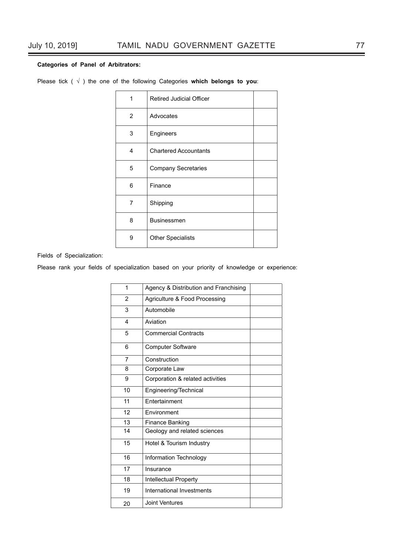## **Categories of Panel of Arbitrators:**

| 1 | <b>Retired Judicial Officer</b> |
|---|---------------------------------|
| 2 | Advocates                       |
| 3 | Engineers                       |
| 4 | <b>Chartered Accountants</b>    |
| 5 | <b>Company Secretaries</b>      |
| 6 | Finance                         |
| 7 | Shipping                        |
| 8 | <b>Businessmen</b>              |
| 9 | <b>Other Specialists</b>        |

Please tick ( √ ) the one of the following Categories **which belongs to you**:

Fields of Specialization:

Please rank your fields of specialization based on your priority of knowledge or experience:

| 1                        | Agency & Distribution and Franchising |  |
|--------------------------|---------------------------------------|--|
| $\overline{2}$           | Agriculture & Food Processing         |  |
| 3                        | Automobile                            |  |
| $\overline{\mathcal{L}}$ | Aviation                              |  |
| 5                        | <b>Commercial Contracts</b>           |  |
| 6                        | <b>Computer Software</b>              |  |
| 7                        | Construction                          |  |
| 8                        | Corporate Law                         |  |
| 9                        | Corporation & related activities      |  |
| 10                       | Engineering/Technical                 |  |
| 11                       | Entertainment                         |  |
| 12                       | Environment                           |  |
| 13                       | <b>Finance Banking</b>                |  |
| 14                       | Geology and related sciences          |  |
| 15                       | Hotel & Tourism Industry              |  |
| 16                       | Information Technology                |  |
| 17                       | Insurance                             |  |
| 18                       | Intellectual Property                 |  |
| 19                       | International Investments             |  |
| 20                       | <b>Joint Ventures</b>                 |  |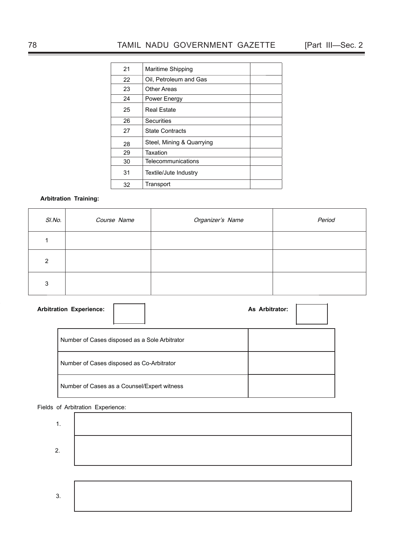| 21 | Maritime Shipping         |  |
|----|---------------------------|--|
| 22 | Oil, Petroleum and Gas    |  |
| 23 | Other Areas               |  |
| 24 | Power Energy              |  |
| 25 | <b>Real Estate</b>        |  |
| 26 | Securities                |  |
| 27 | <b>State Contracts</b>    |  |
| 28 | Steel, Mining & Quarrying |  |
| 29 | Taxation                  |  |
| 30 | Telecommunications        |  |
| 31 | Textile/Jute Industry     |  |
| 32 | Transport                 |  |
|    |                           |  |

## **Arbitration Training:**

| SI.No.        | Course Name | Organizer's Name | Period |
|---------------|-------------|------------------|--------|
|               |             |                  |        |
| $\mathcal{P}$ |             |                  |        |
| 3             |             |                  |        |

| <b>Arbitration Experience:</b>                | As Arbitrator: |
|-----------------------------------------------|----------------|
| Number of Cases disposed as a Sole Arbitrator |                |
| Number of Cases disposed as Co-Arbitrator     |                |
| Number of Cases as a Counsel/Expert witness   |                |

## Fields of Arbitration Experience:

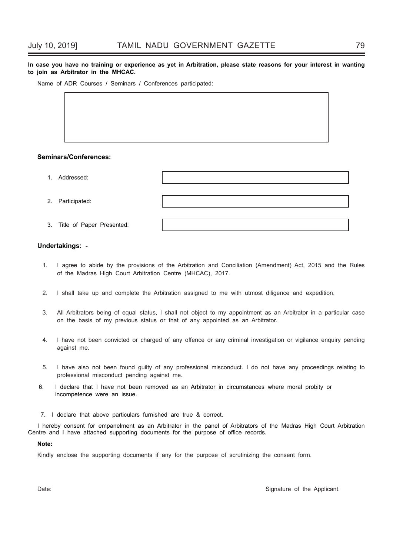#### **In case you have no training or experience as yet in Arbitration, please state reasons for your interest in wanting to join as Arbitrator in the MHCAC.**

Name of ADR Courses / Seminars / Conferences participated:

## **Seminars/Conferences:**

| 1. Addressed:                |  |
|------------------------------|--|
|                              |  |
| 2. Participated:             |  |
|                              |  |
| 3. Title of Paper Presented: |  |

#### **Undertakings: -**

- 1. I agree to abide by the provisions of the Arbitration and Conciliation (Amendment) Act, 2015 and the Rules of the Madras High Court Arbitration Centre (MHCAC), 2017.
- 2. I shall take up and complete the Arbitration assigned to me with utmost diligence and expedition.
- 3. All Arbitrators being of equal status, I shall not object to my appointment as an Arbitrator in a particular case on the basis of my previous status or that of any appointed as an Arbitrator.
- 4. I have not been convicted or charged of any offence or any criminal investigation or vigilance enquiry pending against me.
- 5. I have also not been found guilty of any professional misconduct. I do not have any proceedings relating to professional misconduct pending against me.
- 6. I declare that I have not been removed as an Arbitrator in circumstances where moral probity or incompetence were an issue.
- 7. I declare that above particulars furnished are true & correct.

I hereby consent for empanelment as an Arbitrator in the panel of Arbitrators of the Madras High Court Arbitration Centre and I have attached supporting documents for the purpose of office records.

#### **Note:**

Kindly enclose the supporting documents if any for the purpose of scrutinizing the consent form.

Date: Contract Contract Contract Contract Contract Contract Contract Contract Contract Contract Contract Contract Contract Contract Contract Contract Contract Contract Contract Contract Contract Contract Contract Contract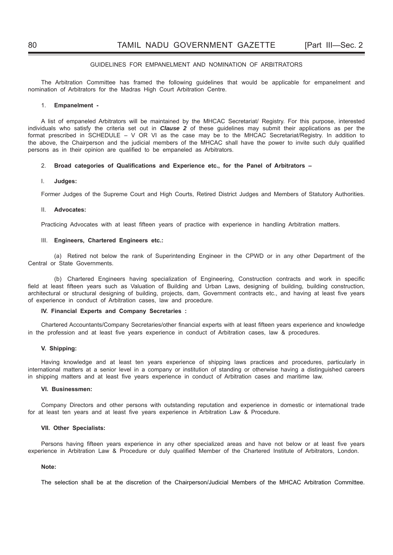#### GUIDELINES FOR EMPANELMENT AND NOMINATION OF ARBITRATORS

The Arbitration Committee has framed the following guidelines that would be applicable for empanelment and nomination of Arbitrators for the Madras High Court Arbitration Centre.

#### 1. **Empanelment -**

A list of empaneled Arbitrators will be maintained by the MHCAC Secretariat/ Registry. For this purpose, interested individuals who satisfy the criteria set out in *Clause 2* of these guidelines may submit their applications as per the format prescribed in SCHEDULE – V OR VI as the case may be to the MHCAC Secretariat/Registry. In addition to the above, the Chairperson and the judicial members of the MHCAC shall have the power to invite such duly qualified persons as in their opinion are qualified to be empaneled as Arbitrators.

#### 2. Broad categories of Qualifications and Experience etc., for the Panel of Arbitrators –

#### I. **Judges:**

Former Judges of the Supreme Court and High Courts, Retired District Judges and Members of Statutory Authorities.

#### II. **Advocates:**

Practicing Advocates with at least fifteen years of practice with experience in handling Arbitration matters.

#### III. **Engineers, Chartered Engineers etc.:**

 (a) Retired not below the rank of Superintending Engineer in the CPWD or in any other Department of the Central or State Governments.

(b) Chartered Engineers having specialization of Engineering, Construction contracts and work in specific field at least fifteen years such as Valuation of Building and Urban Laws, designing of building, building construction, architectural or structural designing of building, projects, dam, Government contracts etc., and having at least five years of experience in conduct of Arbitration cases, law and procedure.

#### **IV. Financial Experts and Company Secretaries :**

Chartered Accountants/Company Secretaries/other financial experts with at least fifteen years experience and knowledge in the profession and at least five vears experience in conduct of Arbitration cases, law & procedures.

#### **V. Shipping:**

Having knowledge and at least ten years experience of shipping laws practices and procedures, particularly in international matters at a senior level in a company or institution of standing or otherwise having a distinguished careers in shipping matters and at least five years experience in conduct of Arbitration cases and maritime law.

#### **VI. Businessmen:**

Company Directors and other persons with outstanding reputation and experience in domestic or international trade for at least ten years and at least five years experience in Arbitration Law & Procedure.

#### **VII. Other Specialists:**

Persons having fifteen years experience in any other specialized areas and have not below or at least five years experience in Arbitration Law & Procedure or duly qualified Member of the Chartered Institute of Arbitrators, London.

#### **Note:**

The selection shall be at the discretion of the Chairperson/Judicial Members of the MHCAC Arbitration Committee.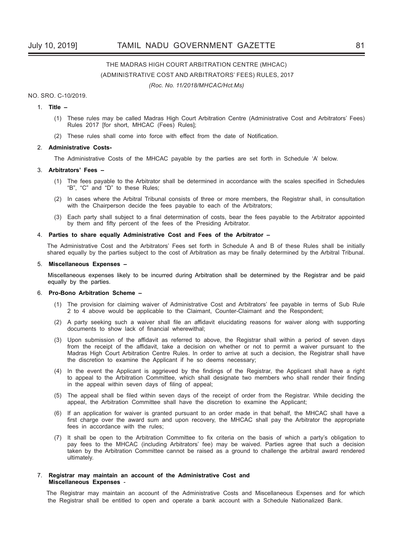# THE MADRAS HIGH COURT ARBITRATION CENTRE (MHCAC) (ADMINISTRATIVE COST AND ARBITRATORS' FEES) RULES, 2017

*(Roc. No. 11/2018/MHCAC/Hct.Ms)*

#### NO. SRO. C-10/2019.

#### 1. **Title –**

- (1) These rules may be called Madras High Court Arbitration Centre (Administrative Cost and Arbitrators' Fees) Rules 2017 [for short, MHCAC (Fees) Rules];
- (2) These rules shall come into force with effect from the date of Notification.

#### 2. **Administrative Costs-**

The Administrative Costs of the MHCAC payable by the parties are set forth in Schedule 'A' below.

#### 3. **Arbitrators' Fees –**

- (1) The fees payable to the Arbitrator shall be determined in accordance with the scales specified in Schedules "B", "C" and "D" to these Rules;
- (2) In cases where the Arbitral Tribunal consists of three or more members, the Registrar shall, in consultation with the Chairperson decide the fees payable to each of the Arbitrators;
- (3) Each party shall subject to a final determination of costs, bear the fees payable to the Arbitrator appointed by them and fifty percent of the fees of the Presiding Arbitrator.

#### 4. **Parties to share equally Administrative Cost and Fees of the Arbitrator –**

The Administrative Cost and the Arbitrators' Fees set forth in Schedule A and B of these Rules shall be initially shared equally by the parties subject to the cost of Arbitration as may be finally determined by the Arbitral Tribunal.

#### 5. **Miscellaneous Expenses –**

Miscellaneous expenses likely to be incurred during Arbitration shall be determined by the Registrar and be paid equally by the parties.

#### 6. **Pro-Bono Arbitration Scheme –**

- (1) The provision for claiming waiver of Administrative Cost and Arbitrators' fee payable in terms of Sub Rule 2 to 4 above would be applicable to the Claimant, Counter-Claimant and the Respondent;
- $(2)$  A party seeking such a waiver shall file an affidavit elucidating reasons for waiver along with supporting documents to show lack of financial wherewithal;
- (3) Upon submission of the affidavit as referred to above, the Registrar shall within a period of seven days from the receipt of the affidavit, take a decision on whether or not to permit a waiver pursuant to the Madras High Court Arbitration Centre Rules. In order to arrive at such a decision, the Registrar shall have the discretion to examine the Applicant if he so deems necessary;
- (4) In the event the Applicant is aggrieved by the findings of the Registrar, the Applicant shall have a right to appeal to the Arbitration Committee, which shall designate two members who shall render their finding in the appeal within seven days of filing of appeal;
- (5) The appeal shall be filed within seven days of the receipt of order from the Registrar. While deciding the appeal, the Arbitration Committee shall have the discretion to examine the Applicant;
- (6) If an application for waiver is granted pursuant to an order made in that behalf, the MHCAC shall have a first charge over the award sum and upon recovery, the MHCAC shall pay the Arbitrator the appropriate fees in accordance with the rules;
- (7) It shall be open to the Arbitration Committee to fix criteria on the basis of which a party's obligation to pay fees to the MHCAC (including Arbitrators' fee) may be waived. Parties agree that such a decision taken by the Arbitration Committee cannot be raised as a ground to challenge the arbitral award rendered ultimately.

#### 7. **Registrar may maintain an account of the Administrative Cost and Miscellaneous Expenses** -

The Registrar may maintain an account of the Administrative Costs and Miscellaneous Expenses and for which the Registrar shall be entitled to open and operate a bank account with a Schedule Nationalized Bank.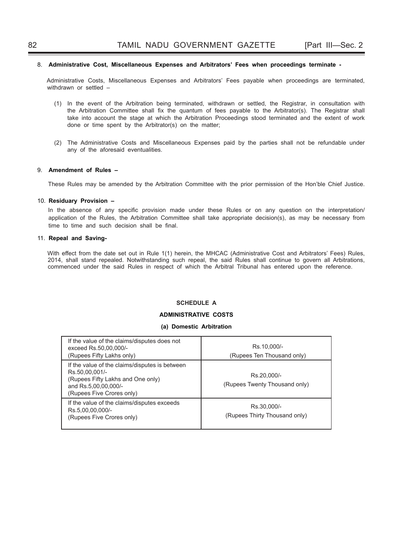#### 8. **Administrative Cost, Miscellaneous Expenses and Arbitrators' Fees when proceedings terminate -**

Administrative Costs, Miscellaneous Expenses and Arbitrators' Fees payable when proceedings are terminated, withdrawn or settled –

- (1) In the event of the Arbitration being terminated, withdrawn or settled, the Registrar, in consultation with the Arbitration Committee shall fix the quantum of fees payable to the Arbitrator(s). The Registrar shall take into account the stage at which the Arbitration Proceedings stood terminated and the extent of work done or time spent by the Arbitrator(s) on the matter;
- (2) The Administrative Costs and Miscellaneous Expenses paid by the parties shall not be refundable under any of the aforesaid eventualities.

## 9. **Amendment of Rules –**

These Rules may be amended by the Arbitration Committee with the prior permission of the Hon'ble Chief Justice.

## 10. **Residuary Provision –**

In the absence of any specific provision made under these Rules or on any question on the interpretation/ application of the Rules, the Arbitration Committee shall take appropriate decision(s), as may be necessary from time to time and such decision shall be final.

#### 11. **Repeal and Saving-**

With effect from the date set out in Rule 1(1) herein, the MHCAC (Administrative Cost and Arbitrators' Fees) Rules, 2014, shall stand repealed. Notwithstanding such repeal, the said Rules shall continue to govern all Arbitrations, commenced under the said Rules in respect of which the Arbitral Tribunal has entered upon the reference.

## **SCHEDULE A**

## **ADMINISTRATIVE COSTS**

#### **(a) Domestic Arbitration**

| If the value of the claims/disputes does not<br>exceed Rs.50,00,000/-<br>(Rupees Fifty Lakhs only)                                                         | Rs.10,000/-<br>(Rupees Ten Thousand only)    |
|------------------------------------------------------------------------------------------------------------------------------------------------------------|----------------------------------------------|
| If the value of the claims/disputes is between<br>Rs.50,00,001/-<br>(Rupees Fifty Lakhs and One only)<br>and Rs.5,00,00,000/-<br>(Rupees Five Crores only) | Rs.20.000/-<br>(Rupees Twenty Thousand only) |
| If the value of the claims/disputes exceeds<br>Rs.5,00,00,000/-<br>(Rupees Five Crores only)                                                               | Rs.30.000/-<br>(Rupees Thirty Thousand only) |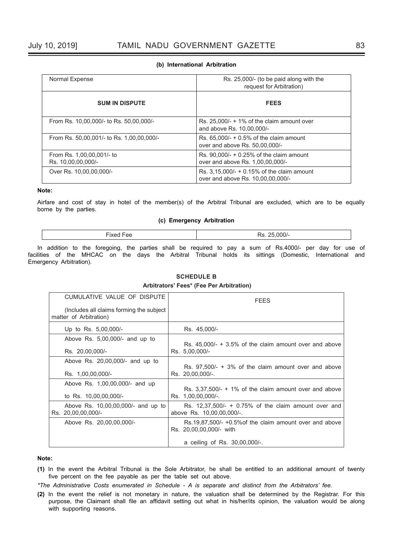#### **(b) International Arbitration**

| Normal Expense                                  | Rs. 25,000/- (to be paid along with the<br>request for Arbitration)               |
|-------------------------------------------------|-----------------------------------------------------------------------------------|
| <b>SUM IN DISPUTE</b>                           | <b>FEES</b>                                                                       |
| From Rs. 10,00,000/- to Rs. 50,00,000/-         | Rs. $25,000/ - + 1\%$ of the claim amount over<br>and above Rs. 10,00,000/-       |
| From Rs. 50,00,001/- to Rs. 1,00,00,000/-       | Rs. $65,000/- + 0.5%$ of the claim amount<br>over and above Rs. 50,00,000/-       |
| From Rs. 1,00,00,001/- to<br>Rs. 10,00,00,000/- | Rs. $90,000/ - +0.25%$ of the claim amount<br>over and above Rs. 1,00,00,000/-    |
| Over Rs. 10,00,00,000/-                         | Rs. $3,15,000/ - +0.15%$ of the claim amount<br>over and above Rs. 10,00,00,000/- |

## **Note:**

Airfare and cost of stay in hotel of the member(s) of the Arbitral Tribunal are excluded, which are to be equally borne by the parties.

## **(c) Emergency Arbitration**

| $\overline{\phantom{a}}$ |  |
|--------------------------|--|
|                          |  |

In addition to the foregoing, the parties shall be required to pay a sum of Rs.4000/- per day for use of facilities of the MHCAC on the days the Arbitral Tribunal holds its sittings (Domestic, International and Emergency Arbitration).

| CUMULATIVE VALUE OF DISPUTE                                        | <b>FEES</b>                                                                           |
|--------------------------------------------------------------------|---------------------------------------------------------------------------------------|
| (Includes all claims forming the subject<br>matter of Arbitration) |                                                                                       |
| Up to Rs. 5,00,000/-                                               | Rs. 45,000/-                                                                          |
| Above Rs. $5,00,000/4$ and up to                                   | Rs. $45,000/- + 3.5\%$ of the claim amount over and above                             |
| Rs. 20,00,000/-                                                    | Rs. 5,00,000/-                                                                        |
| Above Rs. 20,00,000/- and up to                                    | Rs. $97,500/- + 3\%$ of the claim amount over and above                               |
| Rs. 1,00,00,000/-                                                  | Rs. 20,00,000/-.                                                                      |
| Above Rs. 1,00,00,000/- and up                                     | Rs. $3,37,500/- + 1\%$ of the claim amount over and above                             |
| to Rs. 10,00,00,000/-                                              | Rs. 1,00,00,000/-.                                                                    |
| Above Rs. 10,00,00,000/- and up to<br>Rs. 20,00,00,000/-           | Rs. $12,37,500/ - + 0.75%$ of the claim amount over and<br>above Rs. 10,00,00,000/-.  |
| Above Rs. 20,00,00,000/-                                           | $Rs.19.87.500/- +0.5\%$ of the claim amount over and above<br>Rs. 20,00,00,000/- with |
|                                                                    | a ceiling of Rs. 30,00,000/-.                                                         |

## **SCHEDULE B**

 **Arbitrators' Fees\* (Fee Per Arbitration)**

#### **Note:**

- **(1)** In the event the Arbitral Tribunal is the Sole Arbitrator, he shall be entitled to an additional amount of twenty five percent on the fee payable as per the table set out above.
- *\*The Administrative Costs enumerated in Schedule A is separate and distinct from the Arbitrators' fee.*
- **(2)** In the event the relief is not monetary in nature, the valuation shall be determined by the Registrar. For this purpose, the Claimant shall file an affidavit setting out what in his/her/its opinion, the valuation would be along with supporting reasons.